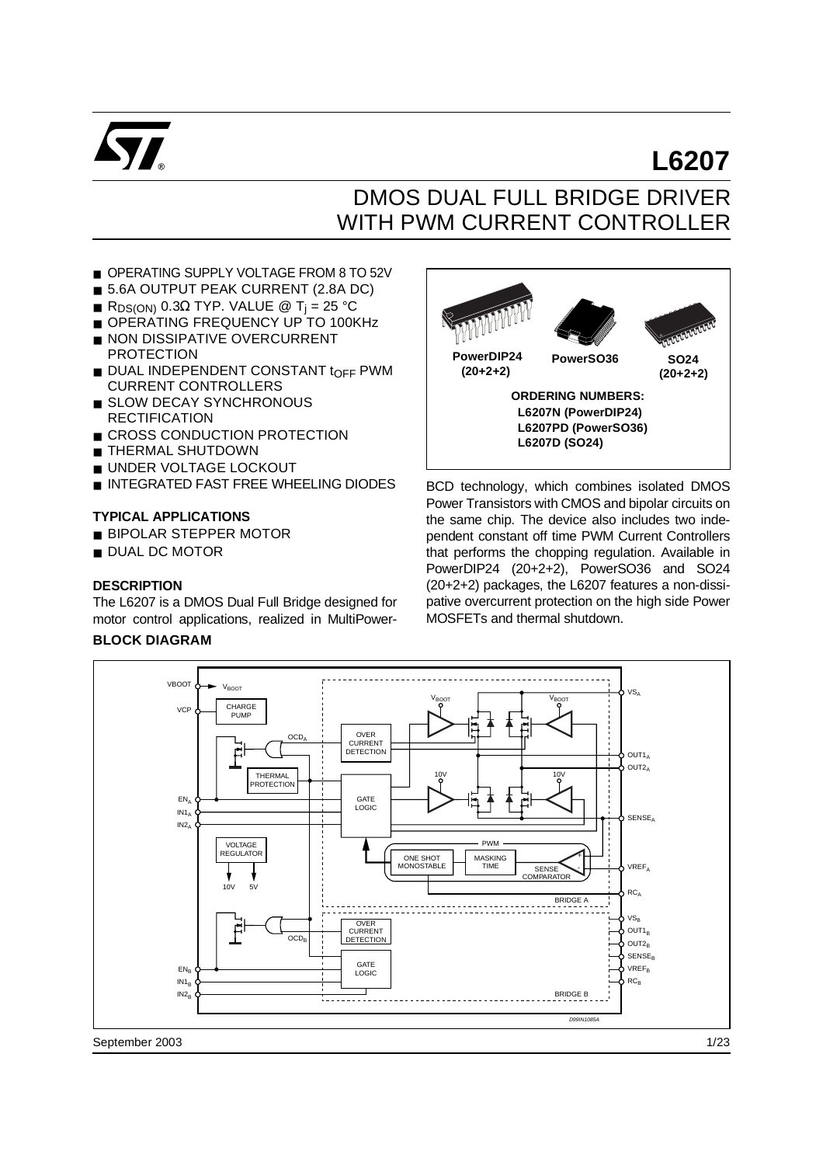

# DMOS DUAL FULL BRIDGE DRIVER WITH PWM CURRENT CONTROLLER

- OPERATING SUPPLY VOLTAGE FROM 8 TO 52V
- 5.6A OUTPUT PEAK CURRENT (2.8A DC)
- R<sub>DS(ON)</sub> 0.3Ω TYP. VALUE @ T<sub>i</sub> = 25 °C
- OPERATING FREQUENCY UP TO 100KHz
- NON DISSIPATIVE OVERCURRENT PROTECTION
- **DUAL INDEPENDENT CONSTANT tOFF PWM** CURRENT CONTROLLERS
- SLOW DECAY SYNCHRONOUS **RECTIFICATION**
- CROSS CONDUCTION PROTECTION
- THERMAL SHUTDOWN
- UNDER VOLTAGE LOCKOUT
- INTEGRATED FAST FREE WHEELING DIODES

#### **TYPICAL APPLICATIONS**

- BIPOLAR STEPPER MOTOR
- DUAL DC MOTOR

#### **DESCRIPTION**

The L6207 is a DMOS Dual Full Bridge designed for motor control applications, realized in MultiPower-

#### **BLOCK DIAGRAM**



**L6207**

BCD technology, which combines isolated DMOS Power Transistors with CMOS and bipolar circuits on the same chip. The device also includes two independent constant off time PWM Current Controllers that performs the chopping regulation. Available in PowerDIP24 (20+2+2), PowerSO36 and SO24 (20+2+2) packages, the L6207 features a non-dissipative overcurrent protection on the high side Power MOSFETs and thermal shutdown.

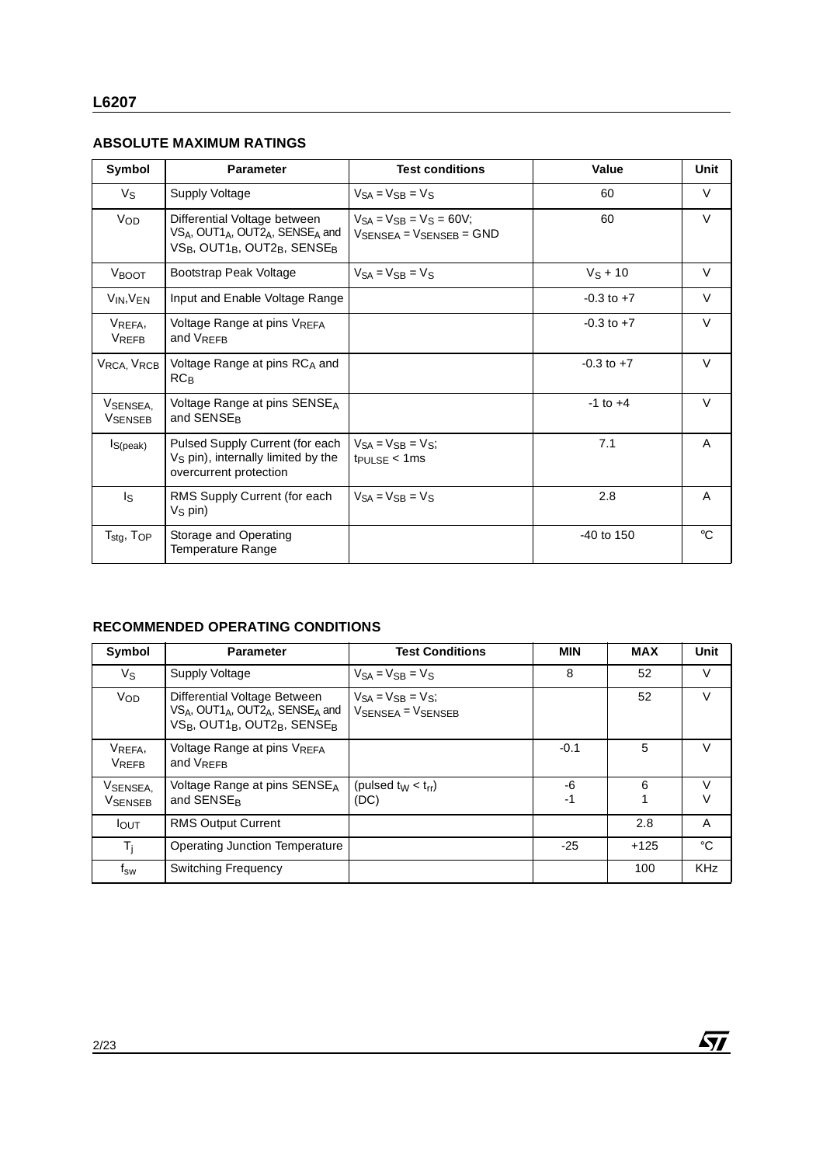# **ABSOLUTE MAXIMUM RATINGS**

| Symbol                       | <b>Parameter</b>                                                                                                                                       | <b>Test conditions</b>                                                                  | Value          | Unit        |
|------------------------------|--------------------------------------------------------------------------------------------------------------------------------------------------------|-----------------------------------------------------------------------------------------|----------------|-------------|
| Vs                           | Supply Voltage                                                                                                                                         | $V_{SA} = V_{SB} = V_S$                                                                 | 60             | V           |
| V <sub>OD</sub>              | Differential Voltage between<br>$VS_A$ , OUT1 <sub>A</sub> , OUT2 <sub>A</sub> , SENSE <sub>A</sub> and<br>$VS_B$ , OUT1 $_B$ , OUT2 $_B$ , SENSE $_B$ | $V_{SA} = V_{SB} = V_S = 60V$ ;<br>$V_{\text{SFNSFA}} = V_{\text{SFNSFB}} = \text{GND}$ | 60             | $\vee$      |
| VBOOT                        | Bootstrap Peak Voltage                                                                                                                                 | $V_{SA} = V_{SR} = V_{S}$                                                               | $V_S + 10$     | $\vee$      |
| $V_{IN}$ , $V_{EN}$          | Input and Enable Voltage Range                                                                                                                         |                                                                                         | $-0.3$ to $+7$ | V           |
| VREFA,<br><b>VREFB</b>       | Voltage Range at pins VREFA<br>and VRFFR                                                                                                               |                                                                                         | $-0.3$ to $+7$ | $\vee$      |
| VRCA, VRCB                   | Voltage Range at pins RCA and<br>$RC_{B}$                                                                                                              |                                                                                         | $-0.3$ to $+7$ | $\vee$      |
| VSENSEA,<br><b>VSENSEB</b>   | Voltage Range at pins $SENSE_A$<br>and SENSE <sub>R</sub>                                                                                              |                                                                                         | $-1$ to $+4$   | $\vee$      |
| Is(peak)                     | Pulsed Supply Current (for each<br>V <sub>S</sub> pin), internally limited by the<br>overcurrent protection                                            | $V_{SA} = V_{SB} = V_{S}$<br>$t_{\text{PULEE}} < 1 \text{ms}$                           | 7.1            | A           |
| Is                           | RMS Supply Current (for each<br>$V_S$ pin)                                                                                                             | $V_{SA} = V_{SB} = V_S$                                                                 | 2.8            | A           |
| $T_{\rm stg}$ , $T_{\rm OP}$ | Storage and Operating<br>Temperature Range                                                                                                             |                                                                                         | -40 to 150     | $^{\circ}C$ |

# **RECOMMENDED OPERATING CONDITIONS**

| Symbol                     | <b>Parameter</b>                                                                                                                                                                    | <b>Test Conditions</b>                                               | <b>MIN</b> | <b>MAX</b> | Unit        |
|----------------------------|-------------------------------------------------------------------------------------------------------------------------------------------------------------------------------------|----------------------------------------------------------------------|------------|------------|-------------|
| Vs                         | Supply Voltage                                                                                                                                                                      | $V_{SA} = V_{SB} = V_S$                                              | 8          | 52         | V           |
| VOD                        | Differential Voltage Between<br>VSA, OUT1 <sub>A</sub> , OUT2 <sub>A</sub> , SENSE <sub>A</sub> and<br>VS <sub>B</sub> , OUT1 <sub>B</sub> , OUT2 <sub>B</sub> , SENSE <sub>B</sub> | $V_{SA} = V_{SB} = V_{S}$<br>$V_{\text{SFNSFA}} = V_{\text{SFNSFB}}$ |            | 52         | $\vee$      |
| VREFA,<br><b>VREFB</b>     | Voltage Range at pins VREFA<br>and $V_{RFFR}$                                                                                                                                       |                                                                      | $-0.1$     | 5          | $\vee$      |
| VSENSEA,<br><b>VSENSEB</b> | Voltage Range at pins SENSE <sub>A</sub><br>and SENSE <sub>R</sub>                                                                                                                  | (pulsed $t_W < t_{rr}$ )<br>(DC)                                     | -6<br>-1   | 6          | $\vee$<br>V |
| <b>I</b> OUT               | <b>RMS Output Current</b>                                                                                                                                                           |                                                                      |            | 2.8        | A           |
| $T_i$                      | Operating Junction Temperature                                                                                                                                                      |                                                                      | -25        | $+125$     | °C          |
| $f_{\mathsf{SW}}$          | <b>Switching Frequency</b>                                                                                                                                                          |                                                                      |            | 100        | <b>KHz</b>  |

 $\sqrt{M}$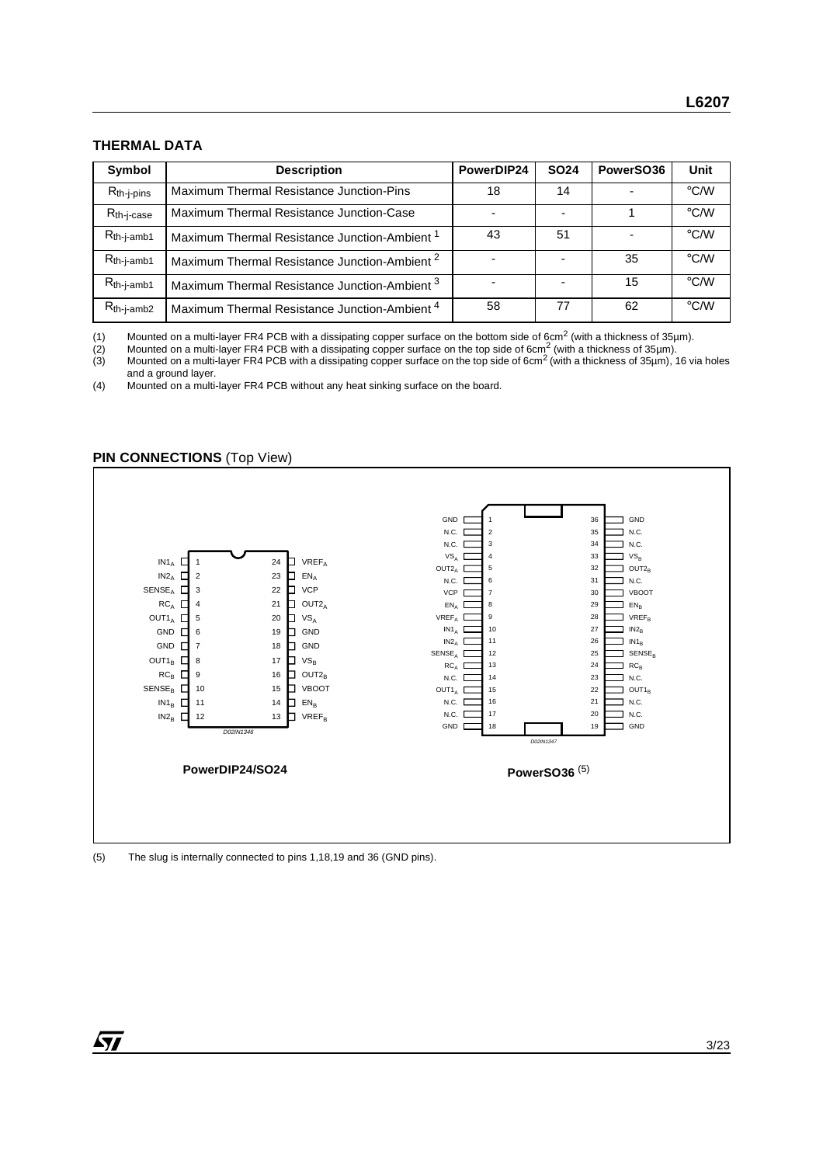# **THERMAL DATA**

| <b>Symbol</b>          | <b>Description</b>                                       | PowerDIP24 | <b>SO24</b> | PowerSO36 | Unit               |
|------------------------|----------------------------------------------------------|------------|-------------|-----------|--------------------|
| $R_{th-j-pins}$        | Maximum Thermal Resistance Junction-Pins                 | 18         | 14          |           | $\rm ^{\circ}$ C/W |
| $R_{th-i-case}$        | Maximum Thermal Resistance Junction-Case                 |            |             |           | $\rm ^{\circ}$ C/W |
| $R_{th-j-amb1}$        | Maximum Thermal Resistance Junction-Ambient <sup>1</sup> | 43         | 51          |           | $\rm ^{\circ}$ C/W |
| R <sub>th-j-amb1</sub> | Maximum Thermal Resistance Junction-Ambient <sup>2</sup> |            |             | 35        | $\rm ^{\circ}$ C/W |
| $R_{th-i-amb1}$        | Maximum Thermal Resistance Junction-Ambient <sup>3</sup> |            |             | 15        | $\rm ^{\circ}$ C/W |
| $R_{th-j-amb2}$        | Maximum Thermal Resistance Junction-Ambient <sup>4</sup> | 58         | 77          | 62        | $\rm ^{\circ}$ C/W |

(1) Mounted on a multi-layer FR4 PCB with a dissipating copper surface on the bottom side of 6cm<sup>2</sup> (with a thickness of 35µm).<br>(2) Mounted on a multi-layer FR4 PCB with a dissipating copper surface on the top side of 6cm

(2) Mounted on a multi-layer FR4 PCB with a dissipating copper surface on the top side of 6cm<sup>2</sup> (with a thickness of 35µm).

(3) Mounted on a multi-layer FR4 PCB with a dissipating copper surface on the top side of 6cm<sup>2</sup> (with a thickness of 35µm), 16 via holes and a ground layer.

(4) Mounted on a multi-layer FR4 PCB without any heat sinking surface on the board.

#### **PIN CONNECTIONS** (Top View)



(5) The slug is internally connected to pins 1,18,19 and 36 (GND pins).

57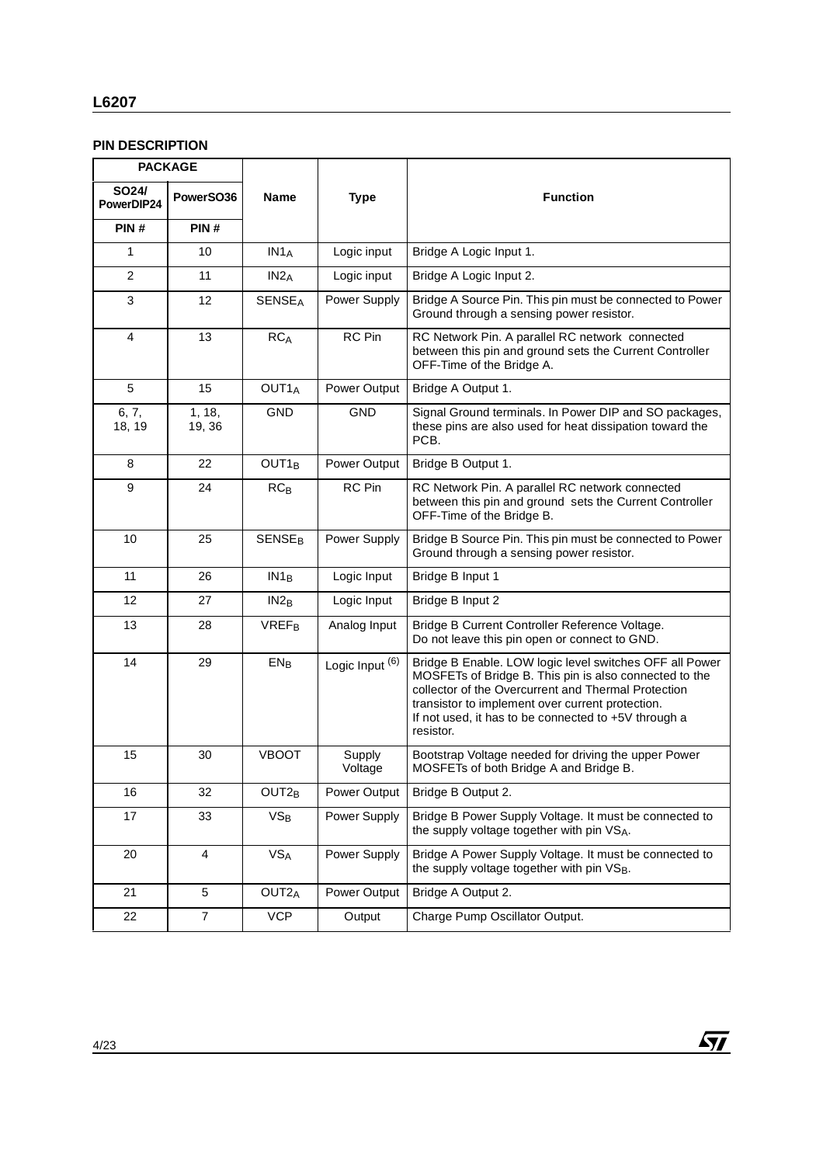# **L6207**

# **PIN DESCRIPTION**

|                     | <b>PACKAGE</b>   |                          |                   |                                                                                                                                                                                                                                                                                                   |  |  |
|---------------------|------------------|--------------------------|-------------------|---------------------------------------------------------------------------------------------------------------------------------------------------------------------------------------------------------------------------------------------------------------------------------------------------|--|--|
| SO24/<br>PowerDIP24 | PowerSO36        | <b>Name</b>              | <b>Type</b>       | <b>Function</b>                                                                                                                                                                                                                                                                                   |  |  |
| PIN#                | PIN#             |                          |                   |                                                                                                                                                                                                                                                                                                   |  |  |
| $\mathbf{1}$        | 10               | IN1 <sub>A</sub>         | Logic input       | Bridge A Logic Input 1.                                                                                                                                                                                                                                                                           |  |  |
| $\overline{2}$      | 11               | IN2A                     | Logic input       | Bridge A Logic Input 2.                                                                                                                                                                                                                                                                           |  |  |
| 3                   | 12               | <b>SENSEA</b>            | Power Supply      | Bridge A Source Pin. This pin must be connected to Power<br>Ground through a sensing power resistor.                                                                                                                                                                                              |  |  |
| 4                   | 13               | <b>RCA</b>               | <b>RC</b> Pin     | RC Network Pin. A parallel RC network connected<br>between this pin and ground sets the Current Controller<br>OFF-Time of the Bridge A.                                                                                                                                                           |  |  |
| $\overline{5}$      | 15               | OUT <sub>1</sub>         | Power Output      | Bridge A Output 1.                                                                                                                                                                                                                                                                                |  |  |
| 6, 7,<br>18, 19     | 1, 18,<br>19, 36 | GND                      | <b>GND</b>        | Signal Ground terminals. In Power DIP and SO packages,<br>these pins are also used for heat dissipation toward the<br>PCB.                                                                                                                                                                        |  |  |
| 8                   | 22               | OUT1 <sub>B</sub>        | Power Output      | Bridge B Output 1.                                                                                                                                                                                                                                                                                |  |  |
| 9                   | 24               | $RC_B$                   | RC Pin            | RC Network Pin. A parallel RC network connected<br>between this pin and ground sets the Current Controller<br>OFF-Time of the Bridge B.                                                                                                                                                           |  |  |
| 10                  | 25               | <b>SENSE<sub>B</sub></b> | Power Supply      | Bridge B Source Pin. This pin must be connected to Power<br>Ground through a sensing power resistor.                                                                                                                                                                                              |  |  |
| 11                  | 26               | IN1 <sub>B</sub>         | Logic Input       | Bridge B Input 1                                                                                                                                                                                                                                                                                  |  |  |
| 12                  | 27               | IN2 <sub>B</sub>         | Logic Input       | Bridge B Input 2                                                                                                                                                                                                                                                                                  |  |  |
| 13                  | 28               | <b>VREF<sub>B</sub></b>  | Analog Input      | Bridge B Current Controller Reference Voltage.<br>Do not leave this pin open or connect to GND.                                                                                                                                                                                                   |  |  |
| 14                  | 29               | EN <sub>B</sub>          | Logic Input (6)   | Bridge B Enable. LOW logic level switches OFF all Power<br>MOSFETs of Bridge B. This pin is also connected to the<br>collector of the Overcurrent and Thermal Protection<br>transistor to implement over current protection.<br>If not used, it has to be connected to +5V through a<br>resistor. |  |  |
| 15                  | 30               | <b>VBOOT</b>             | Supply<br>Voltage | Bootstrap Voltage needed for driving the upper Power<br>MOSFETs of both Bridge A and Bridge B.                                                                                                                                                                                                    |  |  |
| 16                  | 32               | OUT <sub>2B</sub>        | Power Output      | Bridge B Output 2.                                                                                                                                                                                                                                                                                |  |  |
| 17                  | 33               | $VS_B$                   | Power Supply      | Bridge B Power Supply Voltage. It must be connected to<br>the supply voltage together with pin VSA.                                                                                                                                                                                               |  |  |
| 20                  | $\overline{4}$   | VS <sub>A</sub>          | Power Supply      | Bridge A Power Supply Voltage. It must be connected to<br>the supply voltage together with pin VSB.                                                                                                                                                                                               |  |  |
| 21                  | 5                | OUT <sub>2</sub> A       | Power Output      | Bridge A Output 2.                                                                                                                                                                                                                                                                                |  |  |
| 22                  | $\overline{7}$   | <b>VCP</b>               | Output            | Charge Pump Oscillator Output.                                                                                                                                                                                                                                                                    |  |  |

 $\sqrt{1}$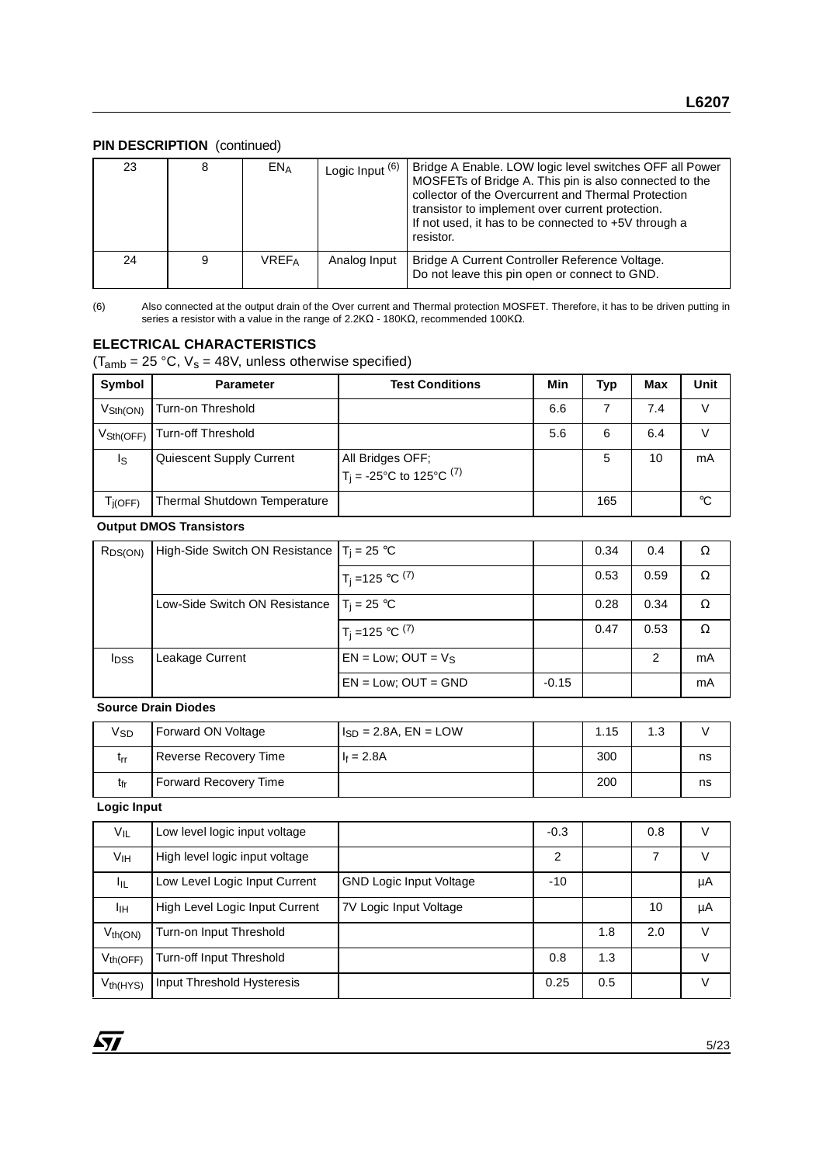#### **PIN DESCRIPTION** (continued)

| 23 | 8 | $EN_A$       | Logic Input (6) | Bridge A Enable. LOW logic level switches OFF all Power<br>MOSFETs of Bridge A. This pin is also connected to the<br>collector of the Overcurrent and Thermal Protection<br>transistor to implement over current protection.<br>If not used, it has to be connected to +5V through a<br>resistor. |
|----|---|--------------|-----------------|---------------------------------------------------------------------------------------------------------------------------------------------------------------------------------------------------------------------------------------------------------------------------------------------------|
| 24 | 9 | <b>VREFA</b> | Analog Input    | Bridge A Current Controller Reference Voltage.<br>Do not leave this pin open or connect to GND.                                                                                                                                                                                                   |

(6) Also connected at the output drain of the Over current and Thermal protection MOSFET. Therefore, it has to be driven putting in series a resistor with a value in the range of 2.2KΩ - 180KΩ, recommended 100KΩ.

#### **ELECTRICAL CHARACTERISTICS**

 $(T<sub>amb</sub> = 25 °C, V<sub>s</sub> = 48V, unless otherwise specified)$ 

| Symbol                      | <b>Parameter</b>             | <b>Test Conditions</b>                                     | Min | Typ | Max | Unit |
|-----------------------------|------------------------------|------------------------------------------------------------|-----|-----|-----|------|
| $V_{\text{Sth}(\text{ON})}$ | Turn-on Threshold            |                                                            | 6.6 |     | 7.4 |      |
| $V_{\text{Sth(OFF)}}$       | <b>Turn-off Threshold</b>    |                                                            | 5.6 | 6   | 6.4 |      |
| Is                          | Quiescent Supply Current     | All Bridges OFF;<br>$T_i = -25^{\circ}C$ to 125°C $^{(7)}$ |     | 5   | 10  | mA   |
| T <sub>İ</sub> (OFF)        | Thermal Shutdown Temperature |                                                            |     | 165 |     | °C   |

#### **Output DMOS Transistors**

| R <sub>DS(ON)</sub> | High-Side Switch ON Resistance $T_i = 25$ °C |                                |         | 0.34 | 0.4  | Ω  |
|---------------------|----------------------------------------------|--------------------------------|---------|------|------|----|
|                     |                                              | $1T_i = 125 °C$ <sup>(7)</sup> |         | 0.53 | 0.59 | Ω  |
|                     | Low-Side Switch ON Resistance                | $T_i = 25 °C$                  |         | 0.28 | 0.34 | Ω  |
|                     |                                              | $T_i = 125$ °C $^{(7)}$        |         | 0.47 | 0.53 | Ω  |
| <b>IDSS</b>         | Leakage Current                              | $EN = Low$ ; OUT = $V_S$       |         |      | 2    | mA |
|                     |                                              | $EN = Low$ ; $OUT = GND$       | $-0.15$ |      |      | mA |

#### **Source Drain Diodes**

| Vsd | Forward ON Voltage    | $I_{SD} = 2.8A$ , $EN = LOW$ | 1.15 | 1.3 |    |
|-----|-----------------------|------------------------------|------|-----|----|
| trr | Reverse Recovery Time | $I_f = 2.8A$                 | 300  |     | ns |
| tfr | Forward Recovery Time |                              | 200  |     | ns |

#### **Logic Input**

| VIL             | Low level logic input voltage  |                                | $-0.3$ |     | 0.8 | V      |
|-----------------|--------------------------------|--------------------------------|--------|-----|-----|--------|
| V <sub>IH</sub> | High level logic input voltage |                                | 2      |     | 7   | V      |
| Ιщ              | Low Level Logic Input Current  | <b>GND Logic Input Voltage</b> | $-10$  |     |     | μA     |
| Iін             | High Level Logic Input Current | 7V Logic Input Voltage         |        |     | 10  | μA     |
| $V_{th(ON)}$    | Turn-on Input Threshold        |                                |        | 1.8 | 2.0 | $\vee$ |
| $V_{th(OFF)}$   | Turn-off Input Threshold       |                                | 0.8    | 1.3 |     | V      |
| $V_{th(HYS)}$   | Input Threshold Hysteresis     |                                | 0.25   | 0.5 |     | V      |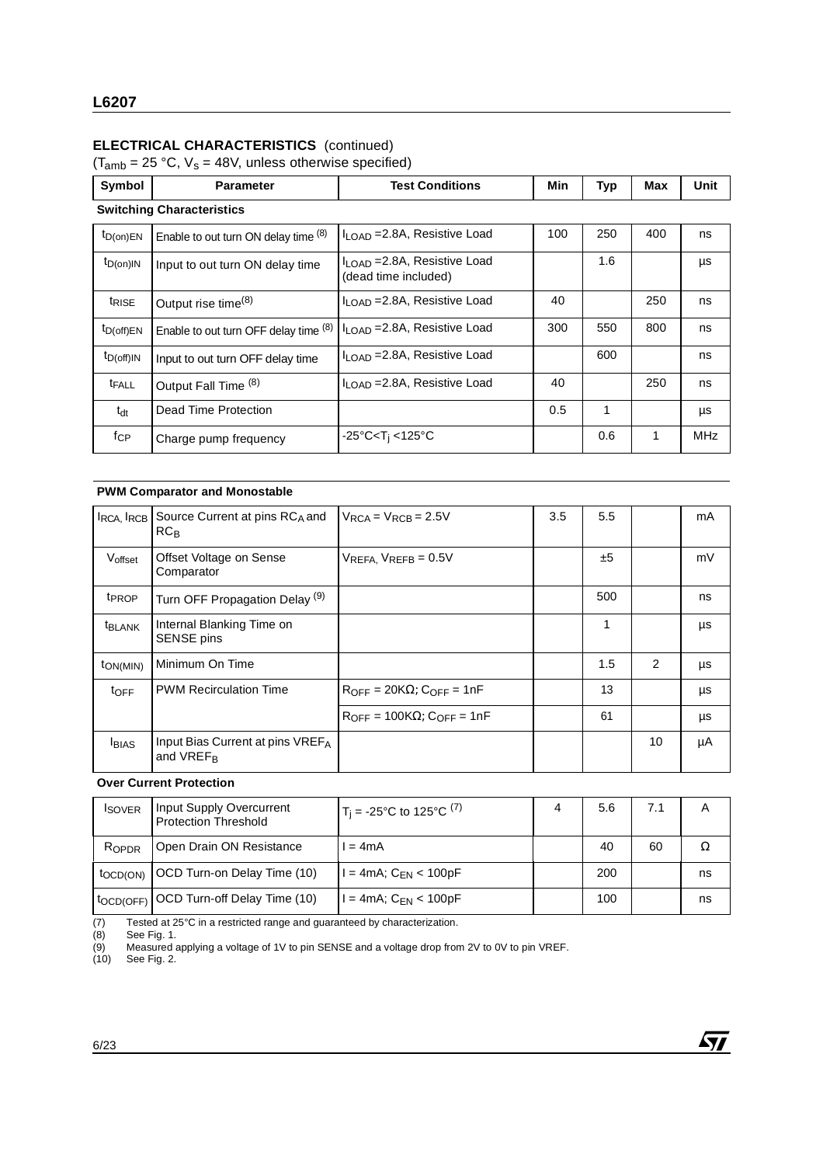# **ELECTRICAL CHARACTERISTICS** (continued)

 $(T<sub>amb</sub> = 25 °C, V<sub>s</sub> = 48V, unless otherwise specified)$ 

| Symbol            | <b>Parameter</b>                      | <b>Test Conditions</b>                                           | Min | <b>Typ</b> | Max | Unit       |
|-------------------|---------------------------------------|------------------------------------------------------------------|-----|------------|-----|------------|
|                   | <b>Switching Characteristics</b>      |                                                                  |     |            |     |            |
| $t_{D(on)EN}$     | Enable to out turn ON delay time (8)  | $I_{\text{LOAD}}$ = 2.8A, Resistive Load                         | 100 | 250        | 400 | ns         |
| $t_{D(0n)IN}$     | Input to out turn ON delay time       | $I_{\text{LOAD}}$ = 2.8A, Resistive Load<br>(dead time included) |     | 1.6        |     | μs         |
| t <sub>RISE</sub> | Output rise time <sup>(8)</sup>       | $I1$ $OAD = 2.8A$ , Resistive Load                               | 40  |            | 250 | ns         |
| $t_{D(off)EN}$    | Enable to out turn OFF delay time (8) | $I1$ $OAD = 2.8A$ , Resistive Load                               | 300 | 550        | 800 | ns         |
| $t_{D(off)IN}$    | Input to out turn OFF delay time      | $I_{\text{LOAD}}$ = 2.8A, Resistive Load                         |     | 600        |     | ns         |
| <b>t</b> FALL     | Output Fall Time (8)                  | $I_{\text{LOAD}}$ = 2.8A, Resistive Load                         | 40  |            | 250 | ns         |
| $t_{dt}$          | Dead Time Protection                  |                                                                  | 0.5 | 1          |     | μs         |
| fcP               | Charge pump frequency                 | -25°C <t<sub>i &lt;125°C</t<sub>                                 |     | 0.6        | 1   | <b>MHz</b> |

#### **PWM Comparator and Monostable**

|                       | IRCA, IRCB Source Current at pins RCA and<br>RC <sub>B</sub> | $V_{RCA} = V_{RCB} = 2.5V$                             | 3.5 | 5.5 |    | mA |
|-----------------------|--------------------------------------------------------------|--------------------------------------------------------|-----|-----|----|----|
| Voffset               | Offset Voltage on Sense<br>Comparator                        | $V_{REFA}$ , $V_{REFB} = 0.5V$                         |     | ±5  |    | mV |
| t <sub>PROP</sub>     | Turn OFF Propagation Delay <sup>(9)</sup>                    |                                                        |     | 500 |    | ns |
| <sup>t</sup> BLANK    | Internal Blanking Time on<br>SENSE pins                      |                                                        |     | 1   |    | μs |
| t <sub>ON</sub> (MIN) | Minimum On Time                                              |                                                        |     | 1.5 | 2  | μs |
| $t_{\text{OFF}}$      | <b>PWM Recirculation Time</b>                                | $R_{\text{OFF}} = 20K\Omega$ ; $C_{\text{OFF}} = 1nF$  |     | 13  |    | μs |
|                       |                                                              | $R_{\text{OFF}} = 100K\Omega$ ; $C_{\text{OFF}} = 1nF$ |     | 61  |    | μs |
| <b>I</b> BIAS         | Input Bias Current at pins VREFA<br>and VREF <sub>B</sub>    |                                                        |     |     | 10 | μA |

**Over Current Protection**

| <b>ISOVER</b>         | Input Supply Overcurrent<br><b>Protection Threshold</b> | $T_i = -25^{\circ}C$ to 125°C <sup>(7)</sup> | 4 | 5.6 | 7.1 | Α  |
|-----------------------|---------------------------------------------------------|----------------------------------------------|---|-----|-----|----|
| ROPDR                 | Open Drain ON Resistance                                | l = 4mA                                      |   | 40  | 60  |    |
| toc <sub>D</sub> (ON) | OCD Turn-on Delay Time (10)                             | $= 4$ mA; C <sub>EN</sub> < 100pF            |   | 200 |     | ns |
|                       | tocp(OFF) OCD Turn-off Delay Time (10)                  |                                              |   | 100 |     | ns |

(7) Tested at 25°C in a restricted range and guaranteed by characterization.<br>
(8) See Fig. 1.<br>
(9) Measured applying a voltage of 1V to pin SENSE and a voltage drop from

(8) See Fig. 1.

(10) See Fig. 2.



<sup>(9)</sup> Measured applying a voltage of 1V to pin SENSE and a voltage drop from 2V to 0V to pin VREF.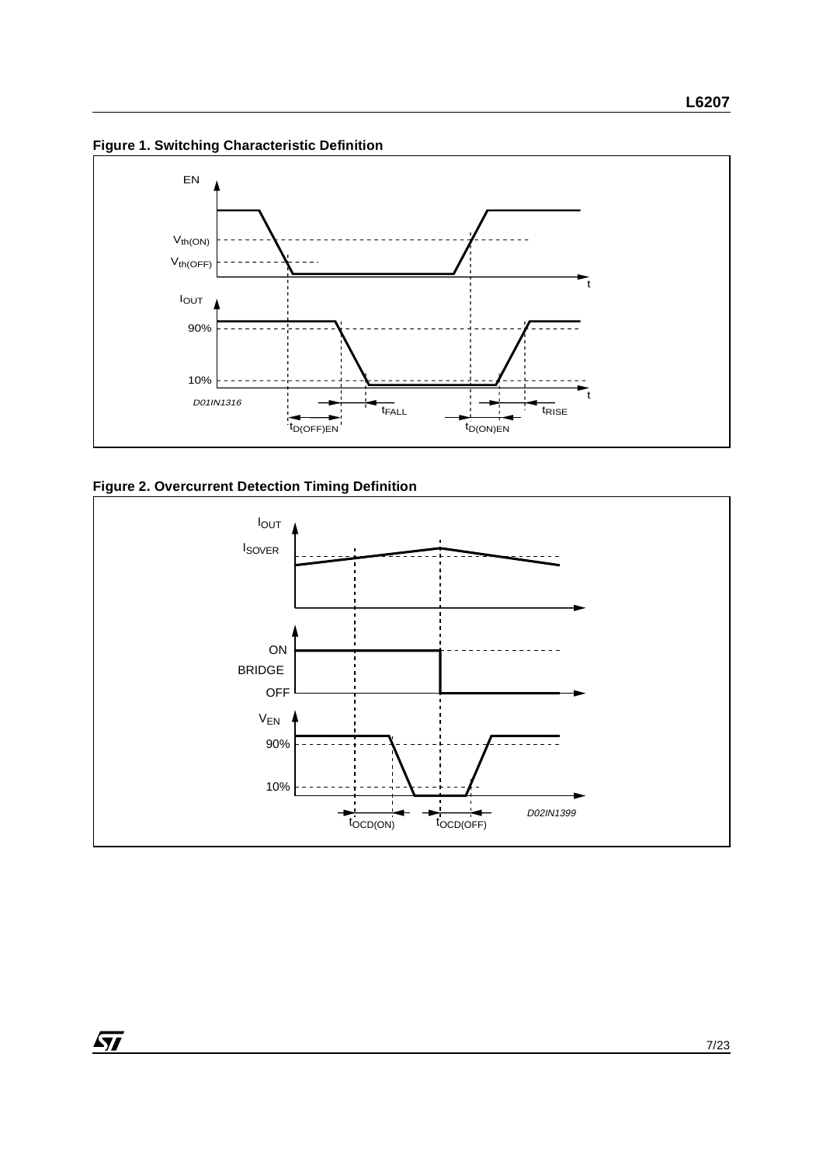**Figure 1. Switching Characteristic Definition**



# **Figure 2. Overcurrent Detection Timing Definition**

 $\sqrt{1}$ 

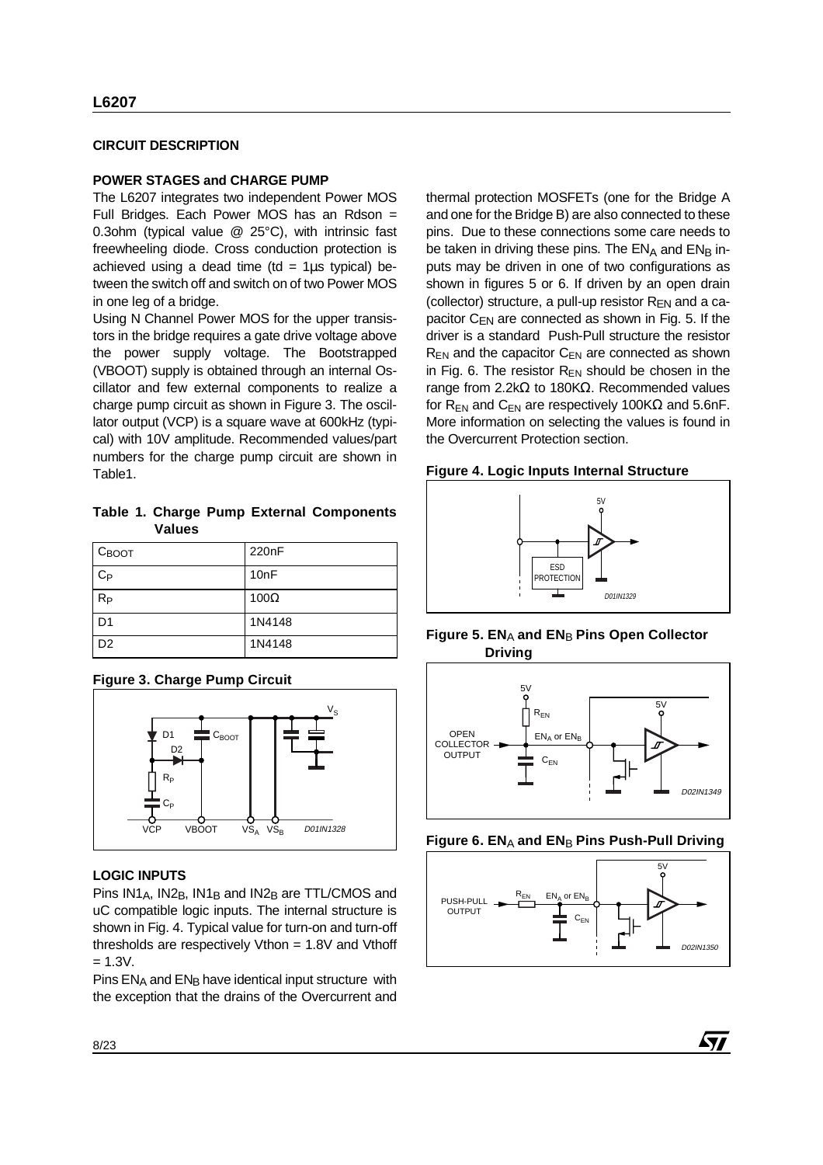#### **CIRCUIT DESCRIPTION**

#### **POWER STAGES and CHARGE PUMP**

The L6207 integrates two independent Power MOS Full Bridges. Each Power MOS has an Rdson = 0.3ohm (typical value @ 25°C), with intrinsic fast freewheeling diode. Cross conduction protection is achieved using a dead time (td =  $1\mu s$  typical) between the switch off and switch on of two Power MOS in one leg of a bridge.

Using N Channel Power MOS for the upper transistors in the bridge requires a gate drive voltage above the power supply voltage. The Bootstrapped (VBOOT) supply is obtained through an internal Oscillator and few external components to realize a charge pump circuit as shown in Figure 3. The oscillator output (VCP) is a square wave at 600kHz (typical) with 10V amplitude. Recommended values/part numbers for the charge pump circuit are shown in Table1.

**Table 1. Charge Pump External Components Values**

| Своот          | 220 <sub>n</sub> F |
|----------------|--------------------|
| $C_{P}$        | 10nF               |
| $R_{P}$        | $100\Omega$        |
| D <sub>1</sub> | 1N4148             |
| D <sub>2</sub> | 1N4148             |

# **Figure 3. Charge Pump Circuit**



# **LOGIC INPUTS**

Pins  $IN1_A$ ,  $IN2_B$ ,  $IN1_B$  and  $IN2_B$  are TTL/CMOS and uC compatible logic inputs. The internal structure is shown in Fig. 4. Typical value for turn-on and turn-off thresholds are respectively Vthon = 1.8V and Vthoff  $= 1.3V.$ 

Pins  $EN_A$  and  $EN_B$  have identical input structure with the exception that the drains of the Overcurrent and

thermal protection MOSFETs (one for the Bridge A and one for the Bridge B) are also connected to these pins. Due to these connections some care needs to be taken in driving these pins. The  $EN<sub>A</sub>$  and  $EN<sub>B</sub>$  inputs may be driven in one of two configurations as shown in figures 5 or 6. If driven by an open drain (collector) structure, a pull-up resistor  $R_{EN}$  and a capacitor  $C_{EN}$  are connected as shown in Fig. 5. If the driver is a standard Push-Pull structure the resistor  $R_{EN}$  and the capacitor  $C_{EN}$  are connected as shown in Fig. 6. The resistor  $R_{EN}$  should be chosen in the range from 2.2kΩ to 180KΩ. Recommended values for  $R_{EN}$  and  $C_{EN}$  are respectively 100K $\Omega$  and 5.6nF. More information on selecting the values is found in the Overcurrent Protection section.

#### **Figure 4. Logic Inputs Internal Structure**



#### **Figure 5. ENA and ENB Pins Open Collector Driving**



#### **Figure 6. ENA and ENB Pins Push-Pull Driving**



57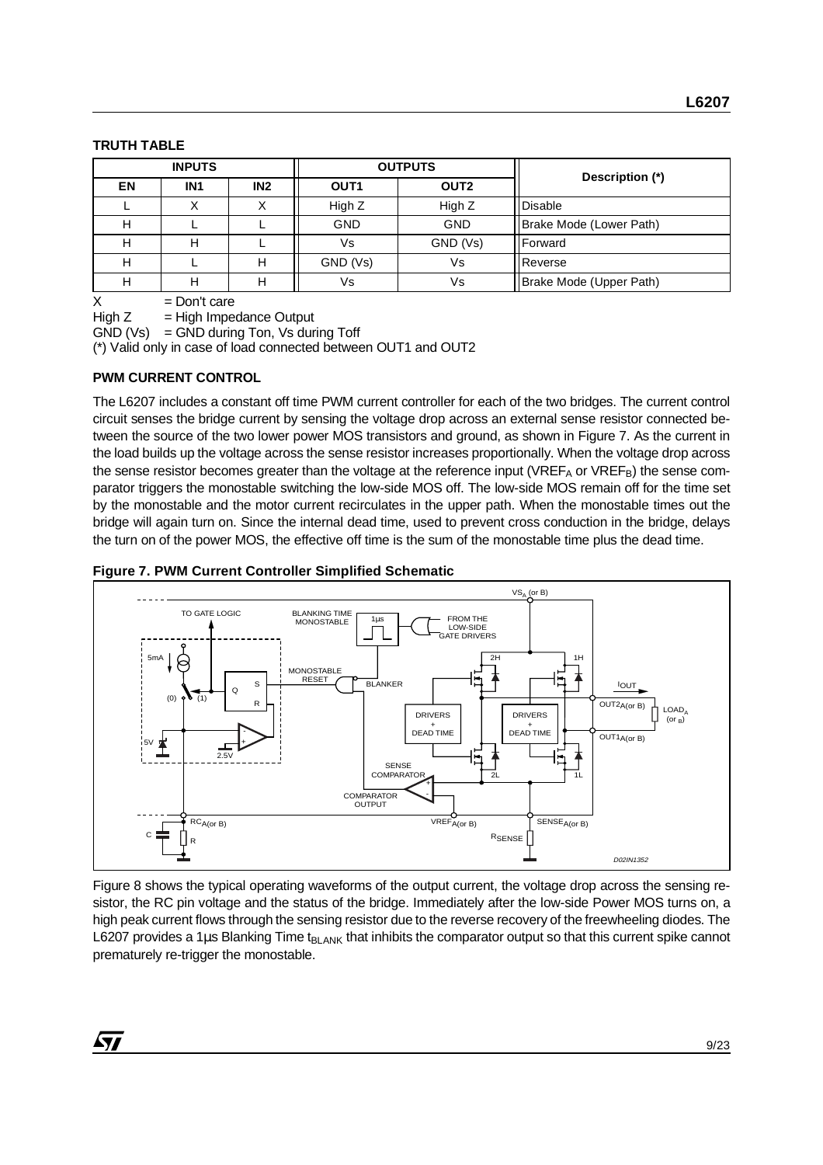#### **TRUTH TABLE**

| <b>INPUTS</b> |                 |     |                  | <b>OUTPUTS</b>   | Description (*)         |  |  |
|---------------|-----------------|-----|------------------|------------------|-------------------------|--|--|
| <b>EN</b>     | IN <sub>1</sub> | IN2 | OUT <sub>1</sub> | OUT <sub>2</sub> |                         |  |  |
|               |                 |     | High Z           | High Z           | <b>Disable</b>          |  |  |
|               |                 |     | <b>GND</b>       | <b>GND</b>       | Brake Mode (Lower Path) |  |  |
|               | н               |     | Vs               | GND (Vs)         | Forward                 |  |  |
|               |                 | н   | GND (Vs)         | Vs               | Reverse                 |  |  |
|               |                 |     | Vs               | Vs               | Brake Mode (Upper Path) |  |  |

 $X = Don't care$ 

 $High Z = High Impedance Output$ 

 $GND (Vs) = GND$  during Ton, Vs during Toff

(\*) Valid only in case of load connected between OUT1 and OUT2

#### **PWM CURRENT CONTROL**

The L6207 includes a constant off time PWM current controller for each of the two bridges. The current control circuit senses the bridge current by sensing the voltage drop across an external sense resistor connected between the source of the two lower power MOS transistors and ground, as shown in Figure 7. As the current in the load builds up the voltage across the sense resistor increases proportionally. When the voltage drop across the sense resistor becomes greater than the voltage at the reference input (VREF<sub>A</sub> or VREF<sub>B</sub>) the sense comparator triggers the monostable switching the low-side MOS off. The low-side MOS remain off for the time set by the monostable and the motor current recirculates in the upper path. When the monostable times out the bridge will again turn on. Since the internal dead time, used to prevent cross conduction in the bridge, delays the turn on of the power MOS, the effective off time is the sum of the monostable time plus the dead time.

#### **Figure 7. PWM Current Controller Simplified Schematic**



Figure 8 shows the typical operating waveforms of the output current, the voltage drop across the sensing resistor, the RC pin voltage and the status of the bridge. Immediately after the low-side Power MOS turns on, a high peak current flows through the sensing resistor due to the reverse recovery of the freewheeling diodes. The L6207 provides a 1µs Blanking Time t<sub>BLANK</sub> that inhibits the comparator output so that this current spike cannot prematurely re-trigger the monostable.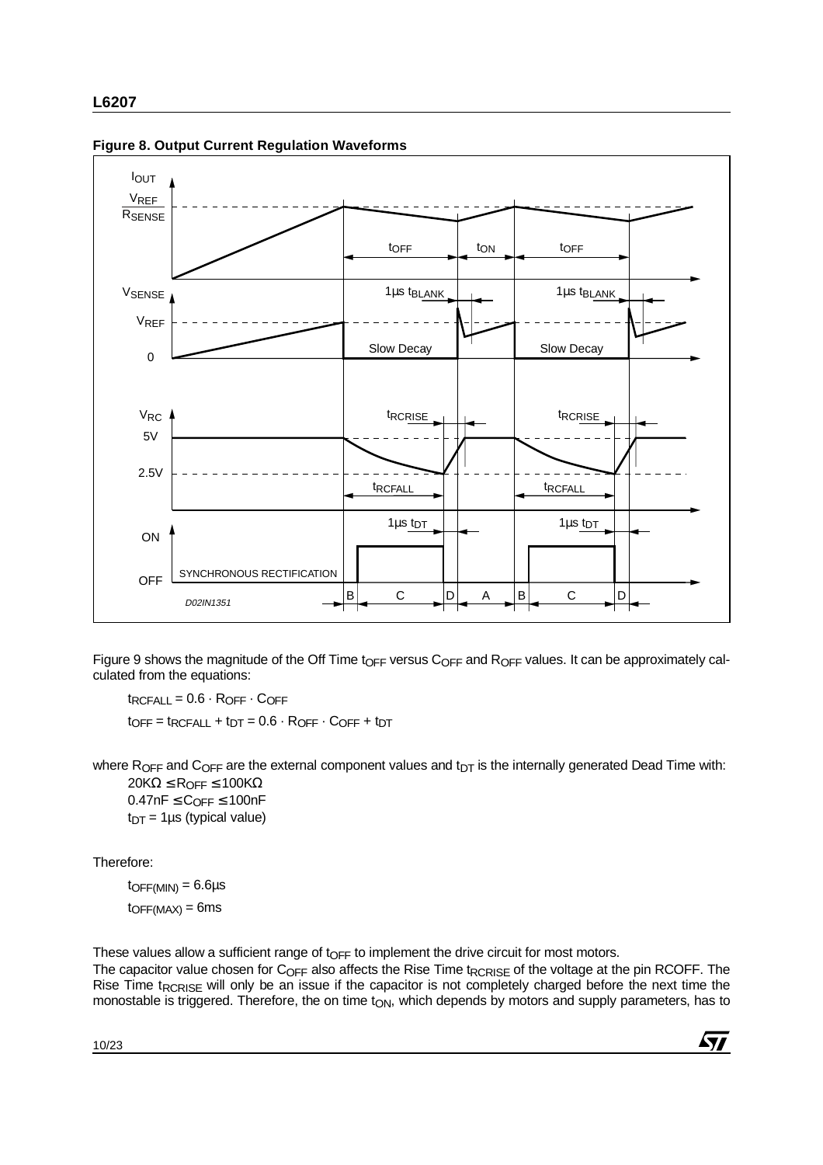

**Figure 8. Output Current Regulation Waveforms**

Figure 9 shows the magnitude of the Off Time t<sub>OFF</sub> versus C<sub>OFF</sub> and R<sub>OFF</sub> values. It can be approximately calculated from the equations:

 $t_{RCFALL} = 0.6 \cdot R_{OFF} \cdot C_{OFF}$  $t$ OFF =  $t$ RCFALL +  $t$ DT = 0.6  $\cdot$  ROFF  $\cdot$  COFF +  $t$ DT

where R<sub>OFF</sub> and C<sub>OFF</sub> are the external component values and  $t_{DT}$  is the internally generated Dead Time with: 20KΩ  $\leq$  R<sub>OFF</sub>  $\leq$  100KΩ

 $0.47nF \leq C_{OFF} \leq 100nF$  $t_{DT}$  = 1µs (typical value)

Therefore:

 $t$ OFF(MIN) = 6.6 $\mu$ s  $to$ FF(MAX) = 6ms

These values allow a sufficient range of t $_{OFF}$  to implement the drive circuit for most motors.

The capacitor value chosen for  $C_{\text{OFF}}$  also affects the Rise Time t<sub>RCRISF</sub> of the voltage at the pin RCOFF. The Rise Time t<sub>RCRISE</sub> will only be an issue if the capacitor is not completely charged before the next time the monostable is triggered. Therefore, the on time  $t_{ON}$ , which depends by motors and supply parameters, has to

57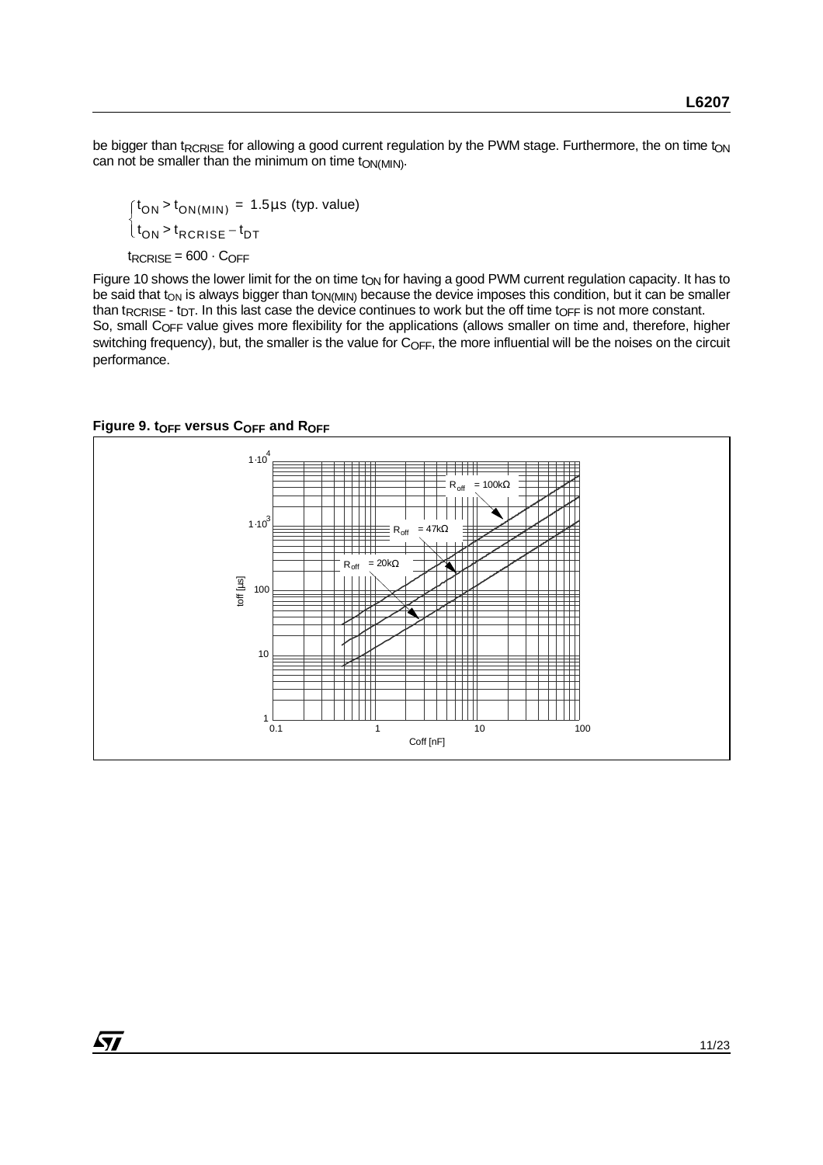be bigger than t<sub>RCRISE</sub> for allowing a good current regulation by the PWM stage. Furthermore, the on time t<sub>ON</sub> can not be smaller than the minimum on time  $t_{ON(MIN)}$ .

 $t_{RCRISE} = 600 \cdot C_{OFF}$  ${\rm t_{ON}}$  >  ${\rm t_{ON(MIN)}}$  = 1.5 $\mu$ s (typ. value)  $\int_{t_{ON}}^{t_{ON}} t_{RCRISE} - t_{DT}$ 

Figure 10 shows the lower limit for the on time t<sub>ON</sub> for having a good PWM current regulation capacity. It has to be said that t<sub>ON</sub> is always bigger than t<sub>ON(MIN)</sub> because the device imposes this condition, but it can be smaller than t<sub>RCRISE</sub> - t<sub>DT</sub>. In this last case the device continues to work but the off time t<sub>OFF</sub> is not more constant. So, small C<sub>OFF</sub> value gives more flexibility for the applications (allows smaller on time and, therefore, higher switching frequency), but, the smaller is the value for C<sub>OFF</sub>, the more influential will be the noises on the circuit performance.



#### Figure 9. t<sub>OFF</sub> versus C<sub>OFF</sub> and R<sub>OFF</sub>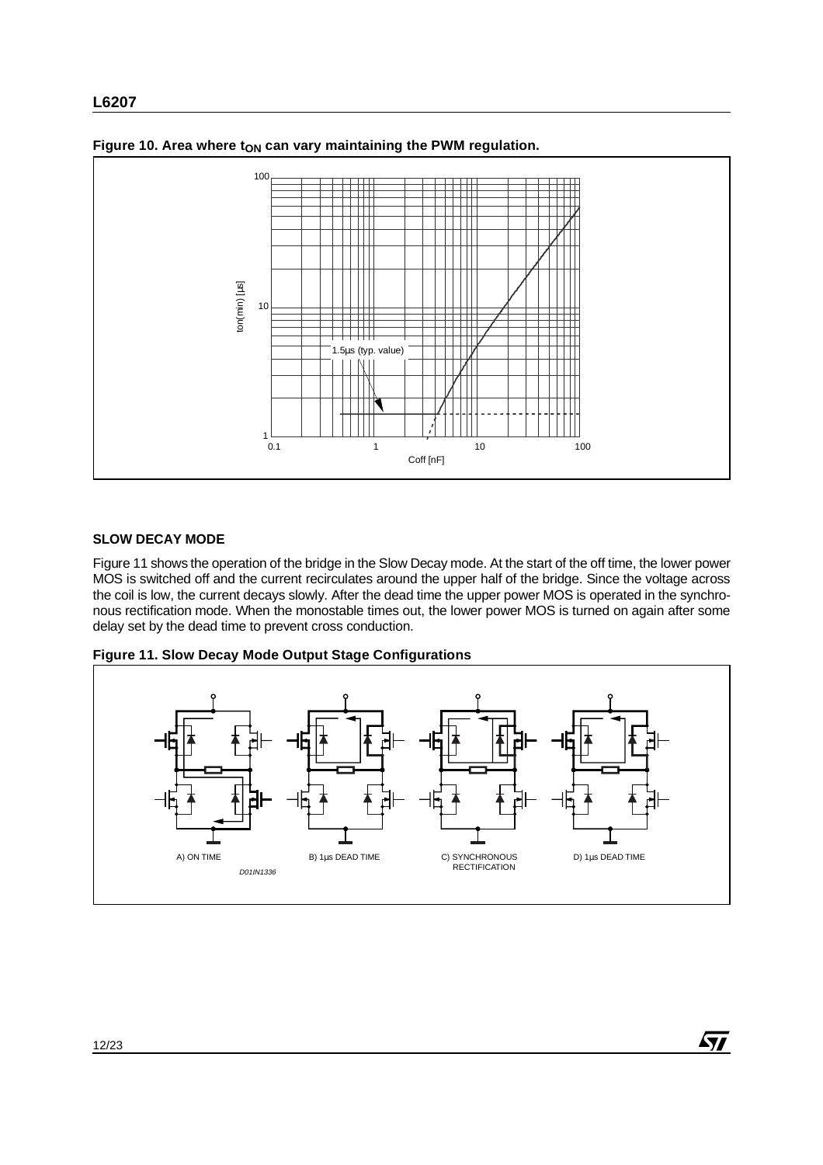

Figure 10. Area where t<sub>ON</sub> can vary maintaining the PWM regulation.

# **SLOW DECAY MODE**

Figure 11 shows the operation of the bridge in the Slow Decay mode. At the start of the off time, the lower power MOS is switched off and the current recirculates around the upper half of the bridge. Since the voltage across the coil is low, the current decays slowly. After the dead time the upper power MOS is operated in the synchronous rectification mode. When the monostable times out, the lower power MOS is turned on again after some delay set by the dead time to prevent cross conduction.





冈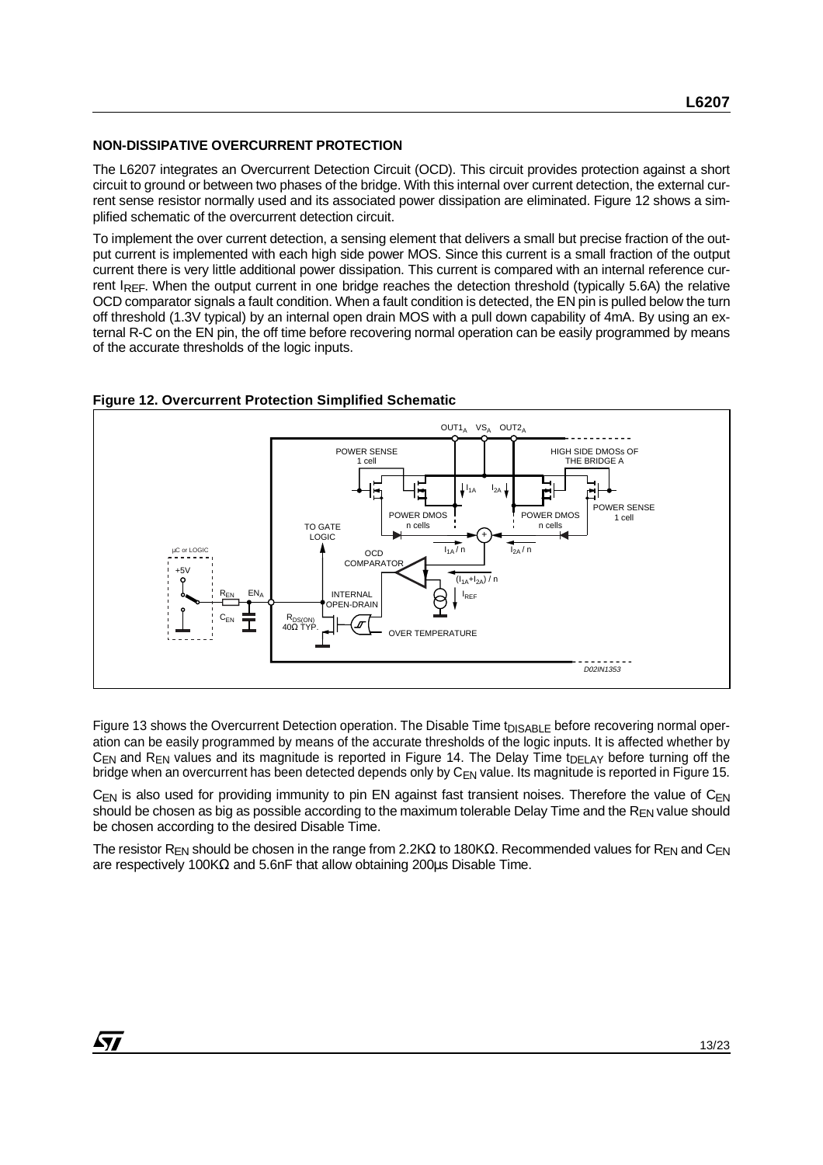#### **NON-DISSIPATIVE OVERCURRENT PROTECTION**

The L6207 integrates an Overcurrent Detection Circuit (OCD). This circuit provides protection against a short circuit to ground or between two phases of the bridge. With this internal over current detection, the external current sense resistor normally used and its associated power dissipation are eliminated. Figure 12 shows a simplified schematic of the overcurrent detection circuit.

To implement the over current detection, a sensing element that delivers a small but precise fraction of the output current is implemented with each high side power MOS. Since this current is a small fraction of the output current there is very little additional power dissipation. This current is compared with an internal reference current IREF. When the output current in one bridge reaches the detection threshold (typically 5.6A) the relative OCD comparator signals a fault condition. When a fault condition is detected, the EN pin is pulled below the turn off threshold (1.3V typical) by an internal open drain MOS with a pull down capability of 4mA. By using an external R-C on the EN pin, the off time before recovering normal operation can be easily programmed by means of the accurate thresholds of the logic inputs.



#### **Figure 12. Overcurrent Protection Simplified Schematic**

Figure 13 shows the Overcurrent Detection operation. The Disable Time t<sub>DISABLE</sub> before recovering normal operation can be easily programmed by means of the accurate thresholds of the logic inputs. It is affected whether by  $C_{EN}$  and  $R_{EN}$  values and its magnitude is reported in Figure 14. The Delay Time t<sub>DELAY</sub> before turning off the bridge when an overcurrent has been detected depends only by C<sub>EN</sub> value. Its magnitude is reported in Figure 15.

 $C_{FN}$  is also used for providing immunity to pin EN against fast transient noises. Therefore the value of  $C_{FN}$ should be chosen as big as possible according to the maximum tolerable Delay Time and the  $R_{FN}$  value should be chosen according to the desired Disable Time.

The resistor R<sub>EN</sub> should be chosen in the range from 2.2KΩ to 180KΩ. Recommended values for R<sub>EN</sub> and C<sub>EN</sub> are respectively 100KΩ and 5.6nF that allow obtaining 200µs Disable Time.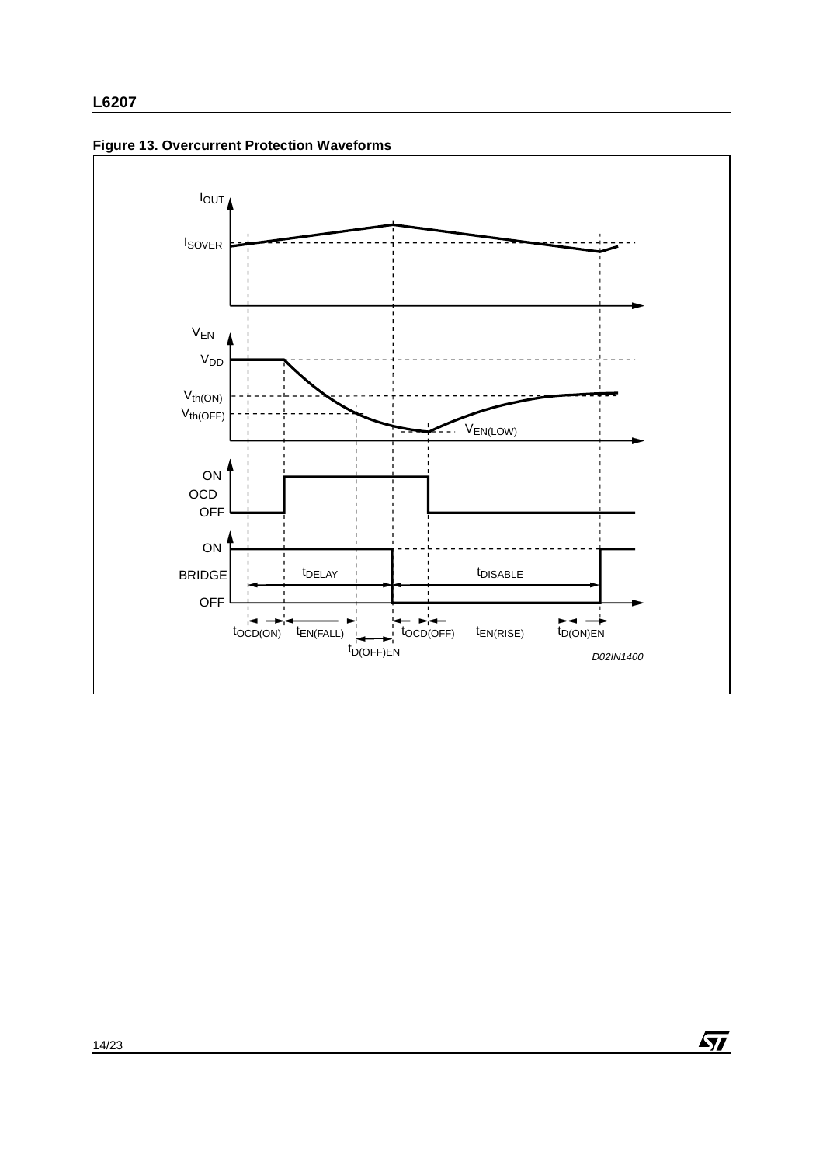

 $\sqrt{M}$ 

**Figure 13. Overcurrent Protection Waveforms**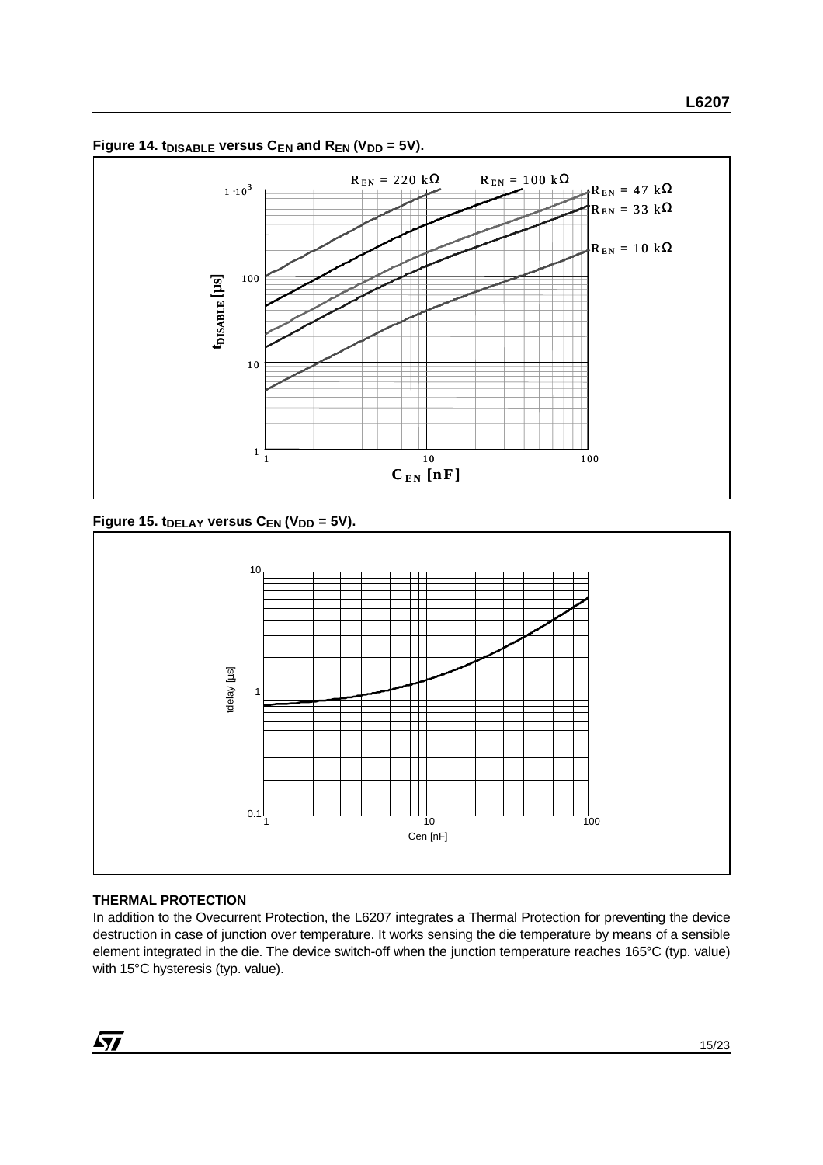

Figure 14.  $t_{DISABLE}$  versus  $C_{EN}$  and  $R_{EN}$  (V<sub>DD</sub> = 5V).

Figure 15. t<sub>DELAY</sub> versus C<sub>EN</sub> (V<sub>DD</sub> = 5V).



# **THERMAL PROTECTION**

In addition to the Ovecurrent Protection, the L6207 integrates a Thermal Protection for preventing the device destruction in case of junction over temperature. It works sensing the die temperature by means of a sensible element integrated in the die. The device switch-off when the junction temperature reaches 165°C (typ. value) with 15°C hysteresis (typ. value).

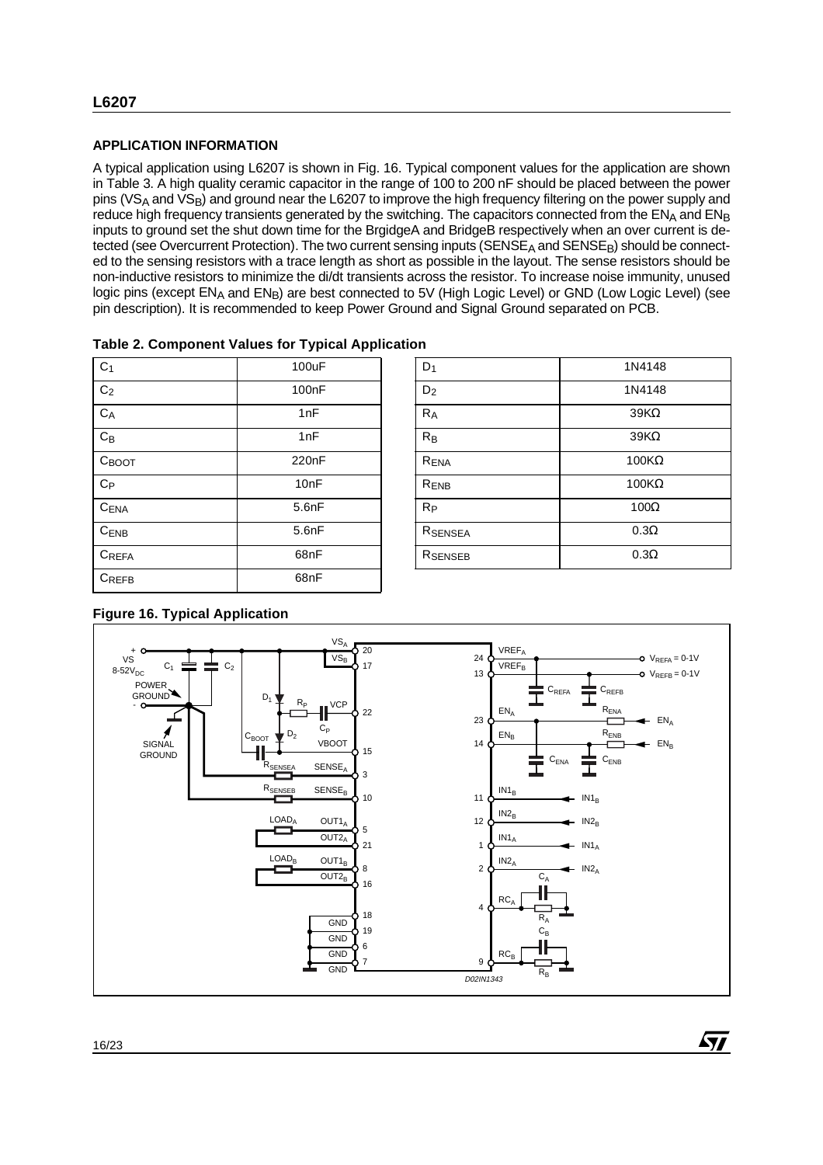# **APPLICATION INFORMATION**

A typical application using L6207 is shown in Fig. 16. Typical component values for the application are shown in Table 3. A high quality ceramic capacitor in the range of 100 to 200 nF should be placed between the power pins (VS<sub>A</sub> and VS<sub>B</sub>) and ground near the L6207 to improve the high frequency filtering on the power supply and reduce high frequency transients generated by the switching. The capacitors connected from the  $EN<sub>A</sub>$  and  $EN<sub>B</sub>$ inputs to ground set the shut down time for the BrgidgeA and BridgeB respectively when an over current is detected (see Overcurrent Protection). The two current sensing inputs (SENSE<sub>A</sub> and SENSE<sub>B</sub>) should be connected to the sensing resistors with a trace length as short as possible in the layout. The sense resistors should be non-inductive resistors to minimize the di/dt transients across the resistor. To increase noise immunity, unused logic pins (except ENA and ENB) are best connected to 5V (High Logic Level) or GND (Low Logic Level) (see pin description). It is recommended to keep Power Ground and Signal Ground separated on PCB.

| C <sub>1</sub>   | 100uF | $D_1$               | 1N4148                 |
|------------------|-------|---------------------|------------------------|
| $\rm{C}_2$       | 100nF | D <sub>2</sub>      | 1N4148                 |
| $C_A$            | 1nF   | $R_A$               | $39K\Omega$            |
| $C_B$            | 1nF   | $R_B$               | $39K\Omega$            |
| Своот            | 220nF | RENA                | $100K\Omega$           |
| $C_{P}$          | 10nF  | R <sub>ENB</sub>    | 100 $\mathsf{K}\Omega$ |
| C <sub>ENA</sub> | 5.6nF | $R_{P}$             | $100\Omega$            |
| $C_{ENB}$        | 5.6nF | RSENSEA             | $0.3\Omega$            |
| $C_{REFA}$       | 68nF  | R <sub>SENSEB</sub> | $0.3\Omega$            |
| $C_{REFB}$       | 68nF  |                     |                        |
|                  |       |                     |                        |

| Table 2. Component Values for Typical Application |  |
|---------------------------------------------------|--|
|---------------------------------------------------|--|

| $D_1$          | 1N4148       |
|----------------|--------------|
| D <sub>2</sub> | 1N4148       |
| $R_A$          | $39K\Omega$  |
| $R_B$          | $39K\Omega$  |
| RENA           | $100K\Omega$ |
| RENB           | $100K\Omega$ |
| $R_{P}$        | $100\Omega$  |
| RSENSEA        | $0.3\Omega$  |
| RSENSEB        | $0.3\Omega$  |

57



# **Figure 16. Typical Application**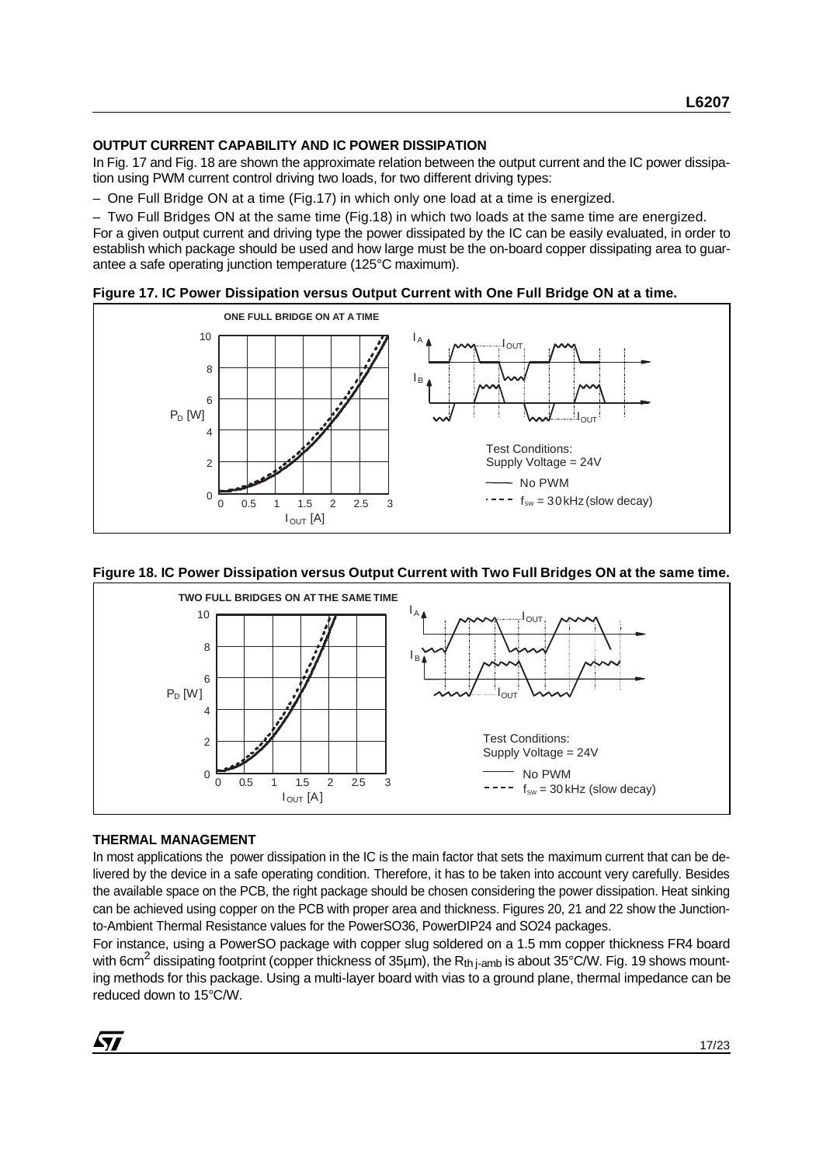#### **OUTPUT CURRENT CAPABILITY AND IC POWER DISSIPATION**

In Fig. 17 and Fig. 18 are shown the approximate relation between the output current and the IC power dissipation using PWM current control driving two loads, for two different driving types:

– One Full Bridge ON at a time (Fig.17) in which only one load at a time is energized.

– Two Full Bridges ON at the same time (Fig.18) in which two loads at the same time are energized. For a given output current and driving type the power dissipated by the IC can be easily evaluated, in order to establish which package should be used and how large must be the on-board copper dissipating area to guarantee a safe operating junction temperature (125°C maximum).





#### **Figure 18. IC Power Dissipation versus Output Current with Two Full Bridges ON at the same time.**



#### **THERMAL MANAGEMENT**

In most applications the power dissipation in the IC is the main factor that sets the maximum current that can be delivered by the device in a safe operating condition. Therefore, it has to be taken into account very carefully. Besides the available space on the PCB, the right package should be chosen considering the power dissipation. Heat sinking can be achieved using copper on the PCB with proper area and thickness. Figures 20, 21 and 22 show the Junctionto-Ambient Thermal Resistance values for the PowerSO36, PowerDIP24 and SO24 packages.

For instance, using a PowerSO package with copper slug soldered on a 1.5 mm copper thickness FR4 board with 6cm<sup>2</sup> dissipating footprint (copper thickness of 35µm), the R<sub>th i-amb</sub> is about 35°C/W. Fig. 19 shows mounting methods for this package. Using a multi-layer board with vias to a ground plane, thermal impedance can be reduced down to 15°C/W.

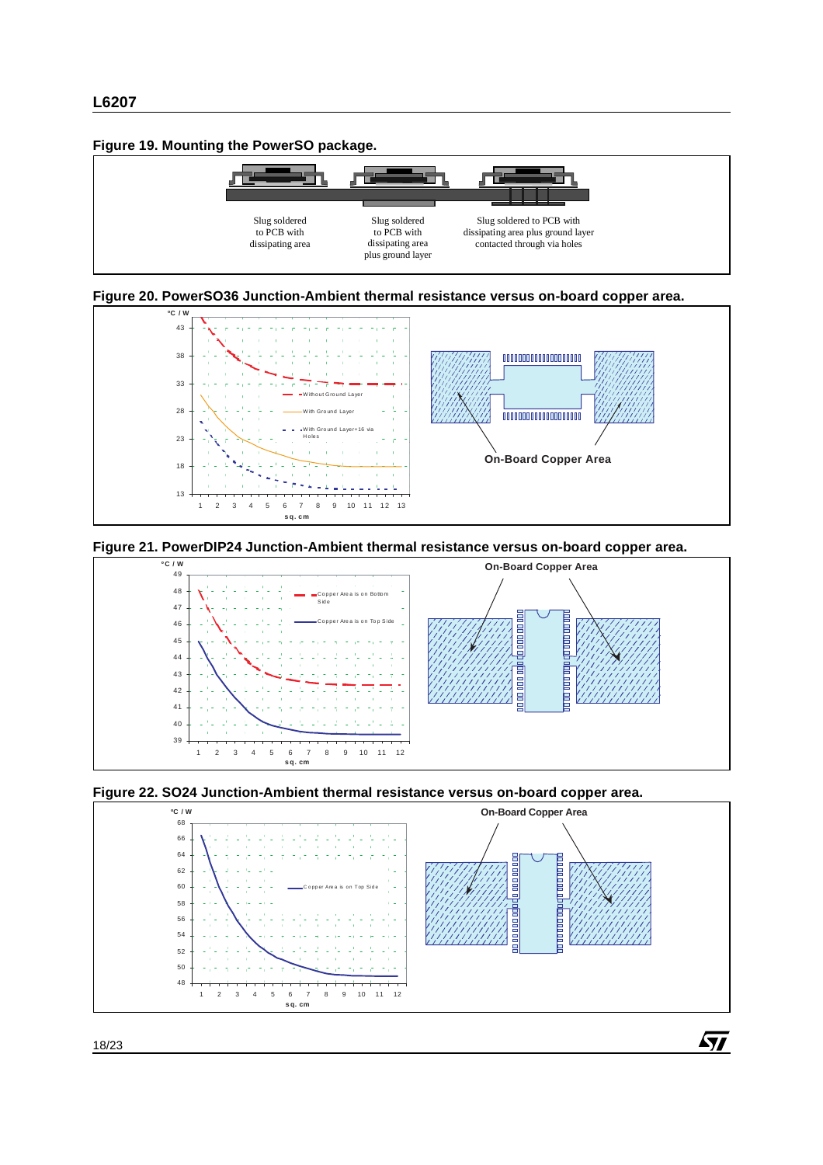#### **Figure 19. Mounting the PowerSO package.**















 $\sqrt{M}$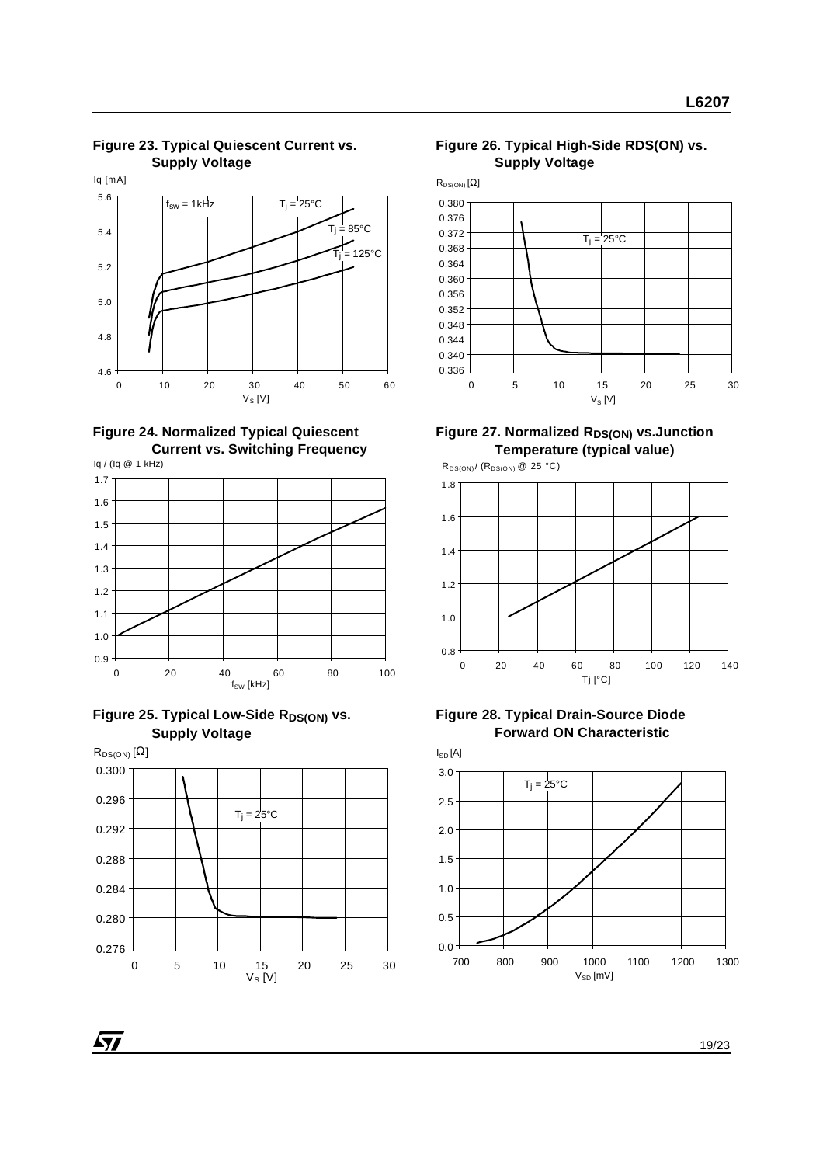**Supply Voltage** 4.6 4.8 5.0 5.2 5.4 5.6 0 10 20 30 40 50 60 Iq [mA]  $V_S$  [V]  $f_{sw} = 1$ kHz  $T_i = 25^\circ C$  $.85^{\circ}$ C \_<br>= 125°C

**Figure 23. Typical Quiescent Current vs.** 

#### **Figure 24. Normalized Typical Quiescent Current vs. Switching Frequency**











#### **Figure 27. Normalized RDS(ON) vs. Junction Temperature (typical value)**



#### **Figure 28. Typical Drain-Source Diode Forward ON Characteristic**

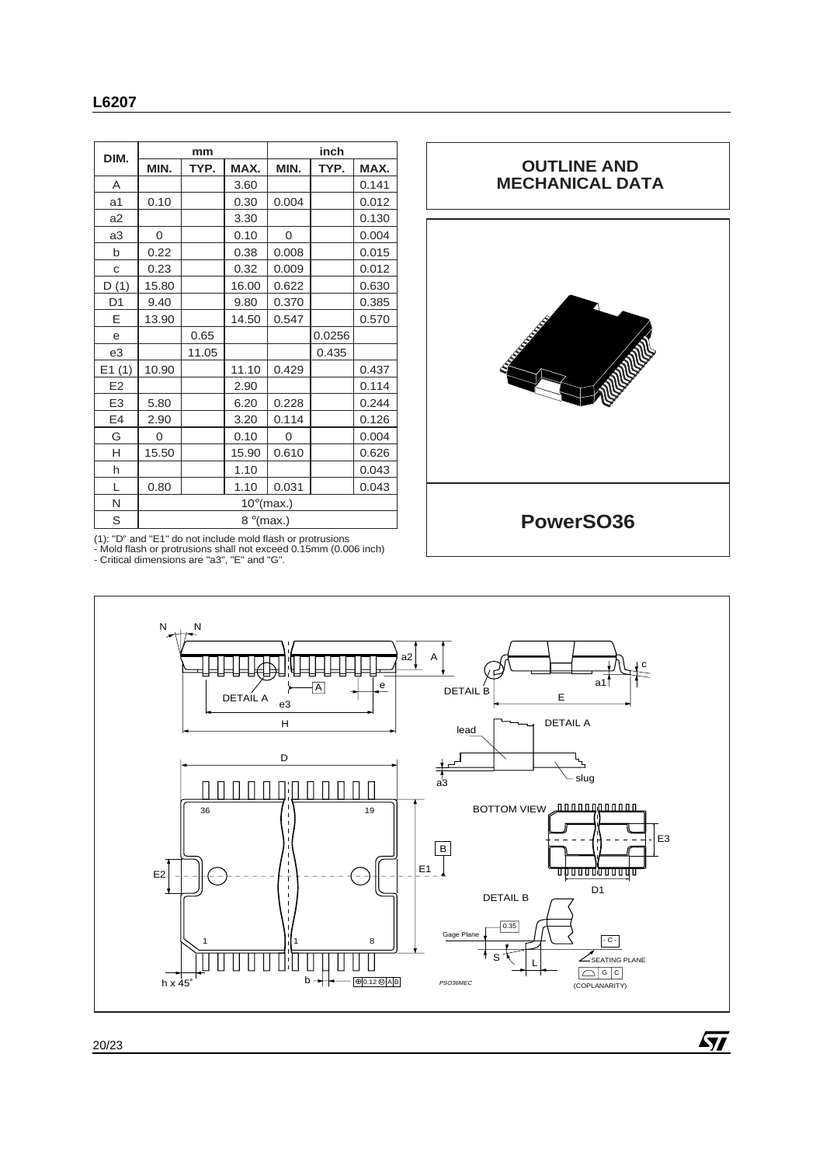| DIM.           | mm                  |       |       | inch     |        |       |
|----------------|---------------------|-------|-------|----------|--------|-------|
|                | MIN.                | TYP.  | MAX.  | MIN.     | TYP.   | MAX.  |
| A              |                     |       | 3.60  |          |        | 0.141 |
| a1             | 0.10                |       | 0.30  | 0.004    |        | 0.012 |
| a2             |                     |       | 3.30  |          |        | 0.130 |
| a3             | 0                   |       | 0.10  | $\Omega$ |        | 0.004 |
| b              | 0.22                |       | 0.38  | 0.008    |        | 0.015 |
| C              | 0.23                |       | 0.32  | 0.009    |        | 0.012 |
| D(1)           | 15.80               |       | 16.00 | 0.622    |        | 0.630 |
| D <sub>1</sub> | 9.40                |       | 9.80  | 0.370    |        | 0.385 |
| Ε              | 13.90               |       | 14.50 | 0.547    |        | 0.570 |
| e              |                     | 0.65  |       |          | 0.0256 |       |
| e3             |                     | 11.05 |       |          | 0.435  |       |
| E1(1)          | 10.90               |       | 11.10 | 0.429    |        | 0.437 |
| E <sub>2</sub> |                     |       | 2.90  |          |        | 0.114 |
| E <sub>3</sub> | 5.80                |       | 6.20  | 0.228    |        | 0.244 |
| E4             | 2.90                |       | 3.20  | 0.114    |        | 0.126 |
| G              | $\Omega$            |       | 0.10  | $\Omega$ |        | 0.004 |
| H              | 15.50               |       | 15.90 | 0.610    |        | 0.626 |
| h              |                     |       | 1.10  |          |        | 0.043 |
| L              | 0.80                |       | 1.10  | 0.031    |        | 0.043 |
| N              | $10^{\circ}$ (max.) |       |       |          |        |       |
| S              | $8^{\circ}$ (max.)  |       |       |          |        |       |

(1): "D" and "E1" do not include mold flash or protrusions - Mold flash or protrusions shall not exceed 0.15mm (0.006 inch) - Critical dimensions are "a3", "E" and "G".



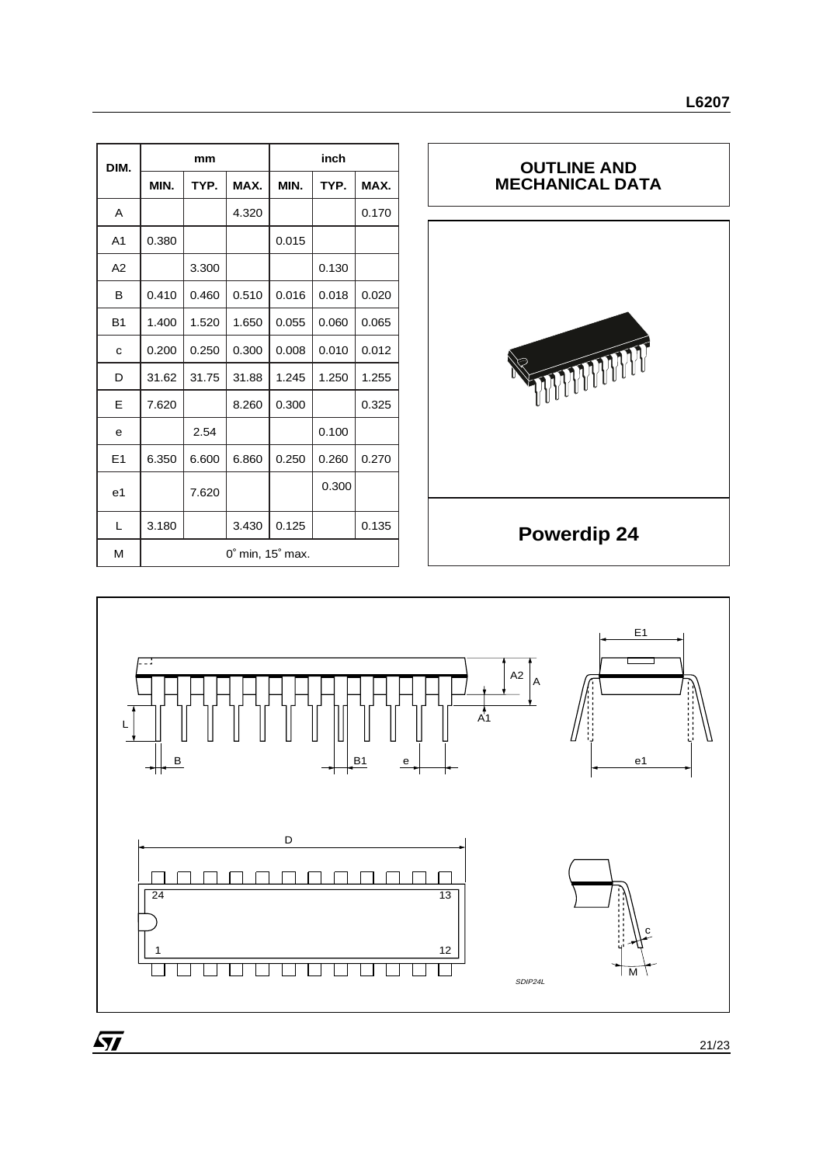| DIM.           | mm                                  |       |       | inch  |       |       |
|----------------|-------------------------------------|-------|-------|-------|-------|-------|
|                | MIN.                                | TYP.  | MAX.  | MIN.  | TYP.  | MAX.  |
| A              |                                     |       | 4.320 |       |       | 0.170 |
| A <sub>1</sub> | 0.380                               |       |       | 0.015 |       |       |
| A2             |                                     | 3.300 |       |       | 0.130 |       |
| в              | 0.410                               | 0.460 | 0.510 | 0.016 | 0.018 | 0.020 |
| <b>B1</b>      | 1.400                               | 1.520 | 1.650 | 0.055 | 0.060 | 0.065 |
| C              | 0.200                               | 0.250 | 0.300 | 0.008 | 0.010 | 0.012 |
| D              | 31.62                               | 31.75 | 31.88 | 1.245 | 1.250 | 1.255 |
| Е              | 7.620                               |       | 8.260 | 0.300 |       | 0.325 |
| e              |                                     | 2.54  |       |       | 0.100 |       |
| E1             | 6.350                               | 6.600 | 6.860 | 0.250 | 0.260 | 0.270 |
| e <sub>1</sub> |                                     | 7.620 |       |       | 0.300 |       |
| L              | 3.180                               |       | 3.430 | 0.125 |       | 0.135 |
| M              | $0^{\circ}$ min, 15 $^{\circ}$ max. |       |       |       |       |       |



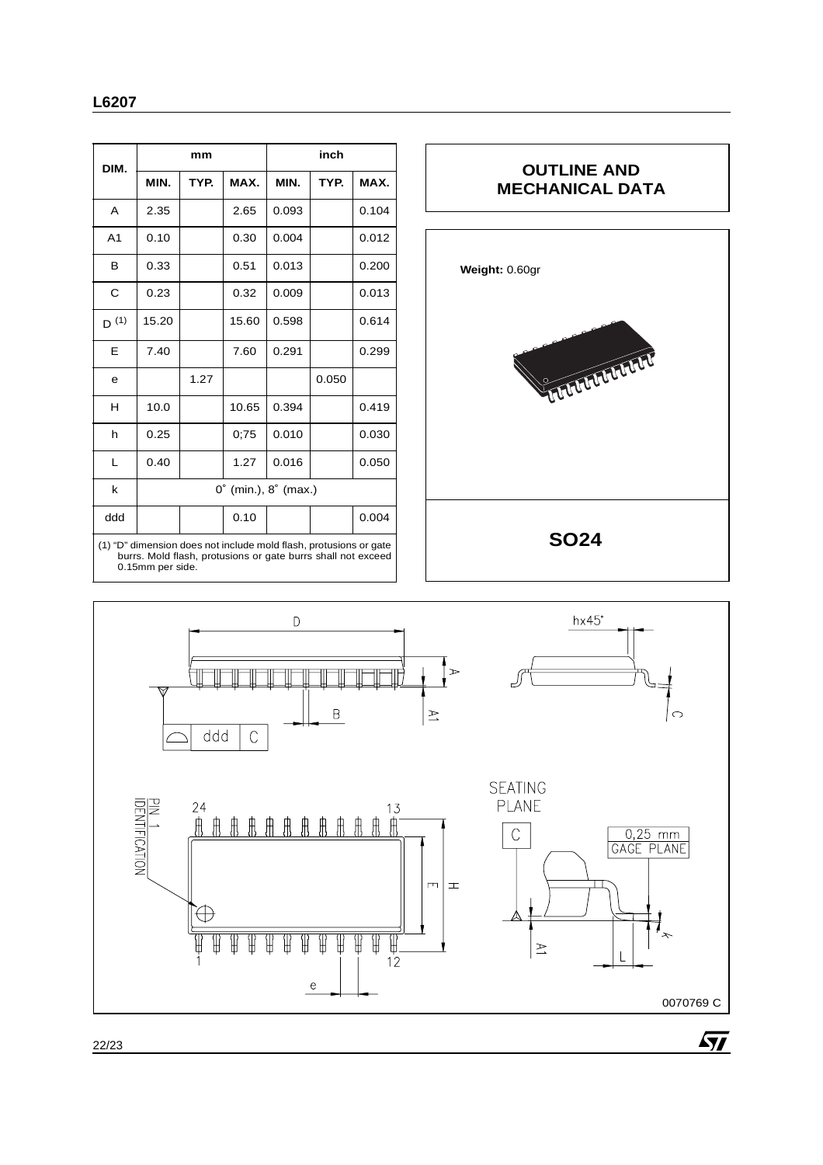| DIM.                                                                                                                                                  | mm                                     |      |       | inch  |       |       |
|-------------------------------------------------------------------------------------------------------------------------------------------------------|----------------------------------------|------|-------|-------|-------|-------|
|                                                                                                                                                       | MIN.                                   | TYP. | MAX.  | MIN.  | TYP.  | MAX.  |
| A                                                                                                                                                     | 2.35                                   |      | 2.65  | 0.093 |       | 0.104 |
| A <sub>1</sub>                                                                                                                                        | 0.10                                   |      | 0.30  | 0.004 |       | 0.012 |
| в                                                                                                                                                     | 0.33                                   |      | 0.51  | 0.013 |       | 0.200 |
| C                                                                                                                                                     | 0.23                                   |      | 0.32  | 0.009 |       | 0.013 |
| $D^{(1)}$                                                                                                                                             | 15.20                                  |      | 15.60 | 0.598 |       | 0.614 |
| E                                                                                                                                                     | 7.40                                   |      | 7.60  | 0.291 |       | 0.299 |
| e                                                                                                                                                     |                                        | 1.27 |       |       | 0.050 |       |
| н                                                                                                                                                     | 10.0                                   |      | 10.65 | 0.394 |       | 0.419 |
| h                                                                                                                                                     | 0.25                                   |      | 0;75  | 0.010 |       | 0.030 |
| L                                                                                                                                                     | 0.40                                   |      | 1.27  | 0.016 |       | 0.050 |
| k                                                                                                                                                     | $0^{\circ}$ (min.), $8^{\circ}$ (max.) |      |       |       |       |       |
| ddd                                                                                                                                                   |                                        |      | 0.10  |       |       | 0.004 |
| (1) "D" dimension does not include mold flash, protusions or gate<br>burrs. Mold flash, protusions or gate burrs shall not exceed<br>0.15mm per side. |                                        |      |       |       |       |       |

# **OUTLINE AND MECHANICAL DATA Weight:** 0.60gr**CONTRACTOR SO24**

 $\sqrt{M}$ 

 $\mathsf D$ hx45° T ╗ ╥  $\mathbb T$  $\overline{\mathbb{T}}$ ╥ TF ╥ لے  $\mathsf B$  $\vert$   $\geq$  $\circ$  $\overline{\mathbb{C}}$ ddd **SEATING** PIN 1<br>IDENTIFICATION PLANE  $\overline{C}$ 0,25 mm<br>GAGE PLANE  $\Box$  $\pm$  $\bigoplus$  $\overline{\mathbb{R}}$  $\frac{1}{12}$ T T ₩ Ή Ή ₩ ₩ ₩  $\geq$  $\mathop{\rm e}\nolimits$ 0070769 C